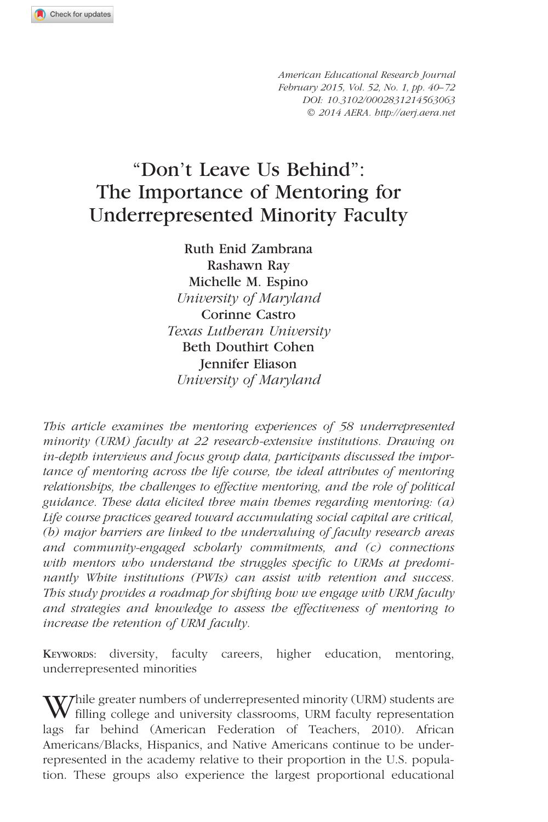American Educational Research Journal February 2015, Vol. 52, No. 1, pp. 40–72 DOI: 10.3102/0002831214563063 © 2014 AERA. http://aerj.aera.net

# ''Don't Leave Us Behind'': The Importance of Mentoring for Underrepresented Minority Faculty

Ruth Enid Zambrana Rashawn Ray Michelle M. Espino University of Maryland Corinne Castro Texas Lutheran University Beth Douthirt Cohen Jennifer Eliason University of Maryland

This article examines the mentoring experiences of 58 underrepresented minority (URM) faculty at 22 research-extensive institutions. Drawing on in-depth interviews and focus group data, participants discussed the importance of mentoring across the life course, the ideal attributes of mentoring relationships, the challenges to effective mentoring, and the role of political guidance. These data elicited three main themes regarding mentoring: (a) Life course practices geared toward accumulating social capital are critical, (b) major barriers are linked to the undervaluing of faculty research areas and community-engaged scholarly commitments, and (c) connections with mentors who understand the struggles specific to URMs at predominantly White institutions (PWIs) can assist with retention and success. This study provides a roadmap for shifting how we engage with URM faculty and strategies and knowledge to assess the effectiveness of mentoring to increase the retention of URM faculty.

KEYWORDS: diversity, faculty careers, higher education, mentoring, underrepresented minorities

 $\nabla$ Thile greater numbers of underrepresented minority (URM) students are filling college and university classrooms, URM faculty representation lags far behind (American Federation of Teachers, 2010). African Americans/Blacks, Hispanics, and Native Americans continue to be underrepresented in the academy relative to their proportion in the U.S. population. These groups also experience the largest proportional educational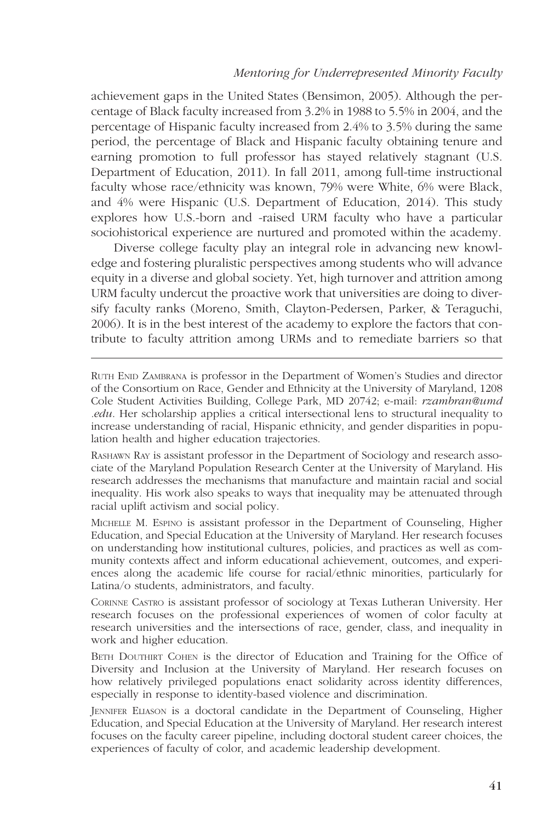achievement gaps in the United States (Bensimon, 2005). Although the percentage of Black faculty increased from 3.2% in 1988 to 5.5% in 2004, and the percentage of Hispanic faculty increased from 2.4% to 3.5% during the same period, the percentage of Black and Hispanic faculty obtaining tenure and earning promotion to full professor has stayed relatively stagnant (U.S. Department of Education, 2011). In fall 2011, among full-time instructional faculty whose race/ethnicity was known, 79% were White, 6% were Black, and 4% were Hispanic (U.S. Department of Education, 2014). This study explores how U.S.-born and -raised URM faculty who have a particular sociohistorical experience are nurtured and promoted within the academy.

Diverse college faculty play an integral role in advancing new knowledge and fostering pluralistic perspectives among students who will advance equity in a diverse and global society. Yet, high turnover and attrition among URM faculty undercut the proactive work that universities are doing to diversify faculty ranks (Moreno, Smith, Clayton-Pedersen, Parker, & Teraguchi, 2006). It is in the best interest of the academy to explore the factors that contribute to faculty attrition among URMs and to remediate barriers so that

RASHAWN RAY is assistant professor in the Department of Sociology and research associate of the Maryland Population Research Center at the University of Maryland. His research addresses the mechanisms that manufacture and maintain racial and social inequality. His work also speaks to ways that inequality may be attenuated through racial uplift activism and social policy.

MICHELLE M. ESPINO is assistant professor in the Department of Counseling, Higher Education, and Special Education at the University of Maryland. Her research focuses on understanding how institutional cultures, policies, and practices as well as community contexts affect and inform educational achievement, outcomes, and experiences along the academic life course for racial/ethnic minorities, particularly for Latina/o students, administrators, and faculty.

CORINNE CASTRO is assistant professor of sociology at Texas Lutheran University. Her research focuses on the professional experiences of women of color faculty at research universities and the intersections of race, gender, class, and inequality in work and higher education.

BETH DOUTHIRT COHEN is the director of Education and Training for the Office of Diversity and Inclusion at the University of Maryland. Her research focuses on how relatively privileged populations enact solidarity across identity differences, especially in response to identity-based violence and discrimination.

JENNIFER ELIASON is a doctoral candidate in the Department of Counseling, Higher Education, and Special Education at the University of Maryland. Her research interest focuses on the faculty career pipeline, including doctoral student career choices, the experiences of faculty of color, and academic leadership development.

RUTH ENID ZAMBRANA is professor in the Department of Women's Studies and director of the Consortium on Race, Gender and Ethnicity at the University of Maryland, 1208 Cole Student Activities Building, College Park, MD 20742; e-mail: rzambran@umd .edu. Her scholarship applies a critical intersectional lens to structural inequality to increase understanding of racial, Hispanic ethnicity, and gender disparities in population health and higher education trajectories.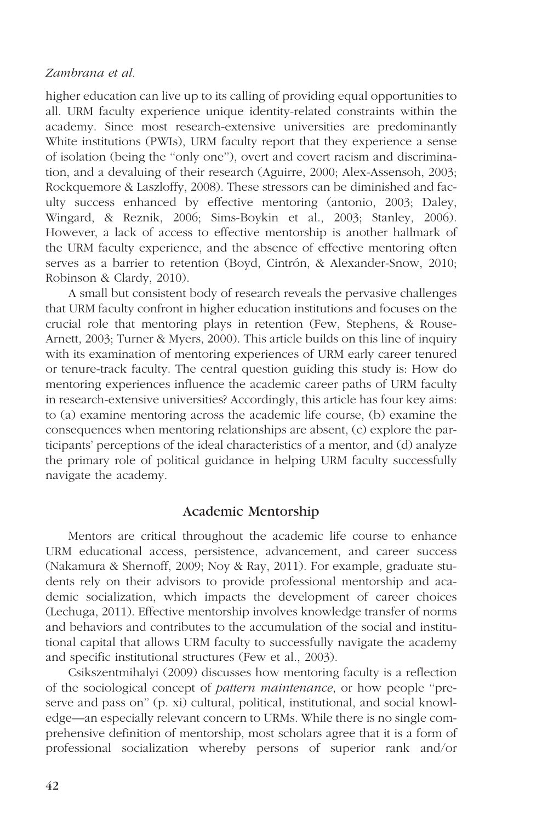higher education can live up to its calling of providing equal opportunities to all. URM faculty experience unique identity-related constraints within the academy. Since most research-extensive universities are predominantly White institutions (PWIs), URM faculty report that they experience a sense of isolation (being the ''only one''), overt and covert racism and discrimination, and a devaluing of their research (Aguirre, 2000; Alex-Assensoh, 2003; Rockquemore & Laszloffy, 2008). These stressors can be diminished and faculty success enhanced by effective mentoring (antonio, 2003; Daley, Wingard, & Reznik, 2006; Sims-Boykin et al., 2003; Stanley, 2006). However, a lack of access to effective mentorship is another hallmark of the URM faculty experience, and the absence of effective mentoring often serves as a barrier to retention (Boyd, Cintrón, & Alexander-Snow, 2010; Robinson & Clardy, 2010).

A small but consistent body of research reveals the pervasive challenges that URM faculty confront in higher education institutions and focuses on the crucial role that mentoring plays in retention (Few, Stephens, & Rouse-Arnett, 2003; Turner & Myers, 2000). This article builds on this line of inquiry with its examination of mentoring experiences of URM early career tenured or tenure-track faculty. The central question guiding this study is: How do mentoring experiences influence the academic career paths of URM faculty in research-extensive universities? Accordingly, this article has four key aims: to (a) examine mentoring across the academic life course, (b) examine the consequences when mentoring relationships are absent, (c) explore the participants' perceptions of the ideal characteristics of a mentor, and (d) analyze the primary role of political guidance in helping URM faculty successfully navigate the academy.

## Academic Mentorship

Mentors are critical throughout the academic life course to enhance URM educational access, persistence, advancement, and career success (Nakamura & Shernoff, 2009; Noy & Ray, 2011). For example, graduate students rely on their advisors to provide professional mentorship and academic socialization, which impacts the development of career choices (Lechuga, 2011). Effective mentorship involves knowledge transfer of norms and behaviors and contributes to the accumulation of the social and institutional capital that allows URM faculty to successfully navigate the academy and specific institutional structures (Few et al., 2003).

Csikszentmihalyi (2009) discusses how mentoring faculty is a reflection of the sociological concept of pattern maintenance, or how people ''preserve and pass on'' (p. xi) cultural, political, institutional, and social knowledge—an especially relevant concern to URMs. While there is no single comprehensive definition of mentorship, most scholars agree that it is a form of professional socialization whereby persons of superior rank and/or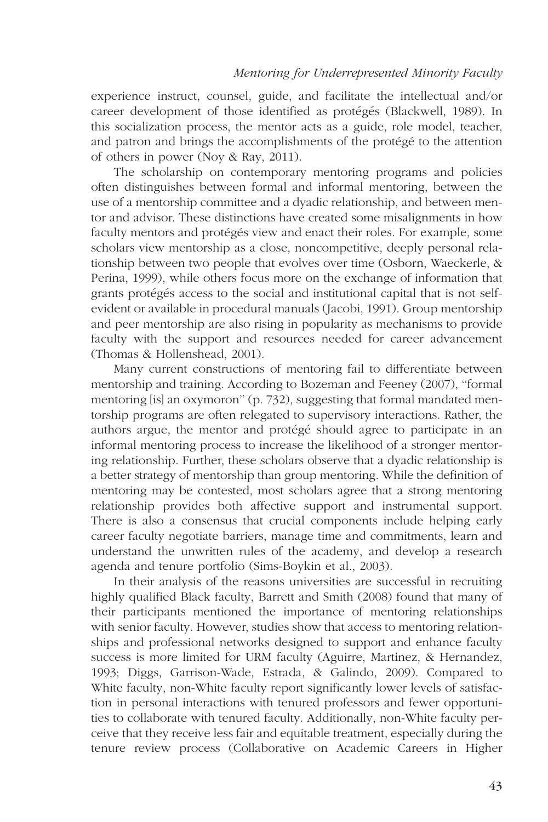experience instruct, counsel, guide, and facilitate the intellectual and/or career development of those identified as protégés (Blackwell, 1989). In this socialization process, the mentor acts as a guide, role model, teacher, and patron and brings the accomplishments of the protégé to the attention of others in power (Noy & Ray, 2011).

The scholarship on contemporary mentoring programs and policies often distinguishes between formal and informal mentoring, between the use of a mentorship committee and a dyadic relationship, and between mentor and advisor. These distinctions have created some misalignments in how faculty mentors and protégés view and enact their roles. For example, some scholars view mentorship as a close, noncompetitive, deeply personal relationship between two people that evolves over time (Osborn, Waeckerle, & Perina, 1999), while others focus more on the exchange of information that grants protégés access to the social and institutional capital that is not selfevident or available in procedural manuals (Jacobi, 1991). Group mentorship and peer mentorship are also rising in popularity as mechanisms to provide faculty with the support and resources needed for career advancement (Thomas & Hollenshead, 2001).

Many current constructions of mentoring fail to differentiate between mentorship and training. According to Bozeman and Feeney (2007), ''formal mentoring [is] an oxymoron'' (p. 732), suggesting that formal mandated mentorship programs are often relegated to supervisory interactions. Rather, the authors argue, the mentor and protégé should agree to participate in an informal mentoring process to increase the likelihood of a stronger mentoring relationship. Further, these scholars observe that a dyadic relationship is a better strategy of mentorship than group mentoring. While the definition of mentoring may be contested, most scholars agree that a strong mentoring relationship provides both affective support and instrumental support. There is also a consensus that crucial components include helping early career faculty negotiate barriers, manage time and commitments, learn and understand the unwritten rules of the academy, and develop a research agenda and tenure portfolio (Sims-Boykin et al., 2003).

In their analysis of the reasons universities are successful in recruiting highly qualified Black faculty, Barrett and Smith (2008) found that many of their participants mentioned the importance of mentoring relationships with senior faculty. However, studies show that access to mentoring relationships and professional networks designed to support and enhance faculty success is more limited for URM faculty (Aguirre, Martinez, & Hernandez, 1993; Diggs, Garrison-Wade, Estrada, & Galindo, 2009). Compared to White faculty, non-White faculty report significantly lower levels of satisfaction in personal interactions with tenured professors and fewer opportunities to collaborate with tenured faculty. Additionally, non-White faculty perceive that they receive less fair and equitable treatment, especially during the tenure review process (Collaborative on Academic Careers in Higher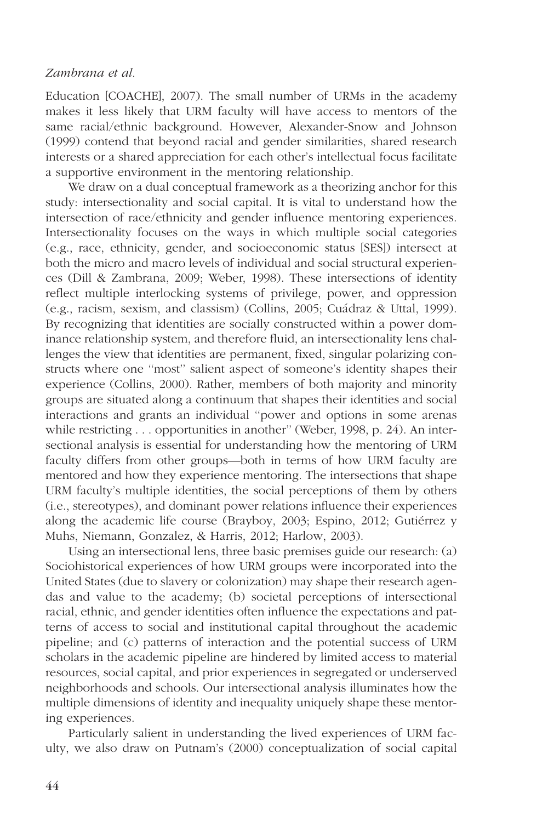Education [COACHE], 2007). The small number of URMs in the academy makes it less likely that URM faculty will have access to mentors of the same racial/ethnic background. However, Alexander-Snow and Johnson (1999) contend that beyond racial and gender similarities, shared research interests or a shared appreciation for each other's intellectual focus facilitate a supportive environment in the mentoring relationship.

We draw on a dual conceptual framework as a theorizing anchor for this study: intersectionality and social capital. It is vital to understand how the intersection of race/ethnicity and gender influence mentoring experiences. Intersectionality focuses on the ways in which multiple social categories (e.g., race, ethnicity, gender, and socioeconomic status [SES]) intersect at both the micro and macro levels of individual and social structural experiences (Dill & Zambrana, 2009; Weber, 1998). These intersections of identity reflect multiple interlocking systems of privilege, power, and oppression  $(e.g., racing, sexism, and classism)$  (Collins, 2005; Cuádraz & Uttal, 1999). By recognizing that identities are socially constructed within a power dominance relationship system, and therefore fluid, an intersectionality lens challenges the view that identities are permanent, fixed, singular polarizing constructs where one ''most'' salient aspect of someone's identity shapes their experience (Collins, 2000). Rather, members of both majority and minority groups are situated along a continuum that shapes their identities and social interactions and grants an individual ''power and options in some arenas while restricting . . . opportunities in another" (Weber, 1998, p. 24). An intersectional analysis is essential for understanding how the mentoring of URM faculty differs from other groups—both in terms of how URM faculty are mentored and how they experience mentoring. The intersections that shape URM faculty's multiple identities, the social perceptions of them by others (i.e., stereotypes), and dominant power relations influence their experiences along the academic life course (Brayboy, 2003; Espino, 2012; Gutiérrez y Muhs, Niemann, Gonzalez, & Harris, 2012; Harlow, 2003).

Using an intersectional lens, three basic premises guide our research: (a) Sociohistorical experiences of how URM groups were incorporated into the United States (due to slavery or colonization) may shape their research agendas and value to the academy; (b) societal perceptions of intersectional racial, ethnic, and gender identities often influence the expectations and patterns of access to social and institutional capital throughout the academic pipeline; and (c) patterns of interaction and the potential success of URM scholars in the academic pipeline are hindered by limited access to material resources, social capital, and prior experiences in segregated or underserved neighborhoods and schools. Our intersectional analysis illuminates how the multiple dimensions of identity and inequality uniquely shape these mentoring experiences.

Particularly salient in understanding the lived experiences of URM faculty, we also draw on Putnam's (2000) conceptualization of social capital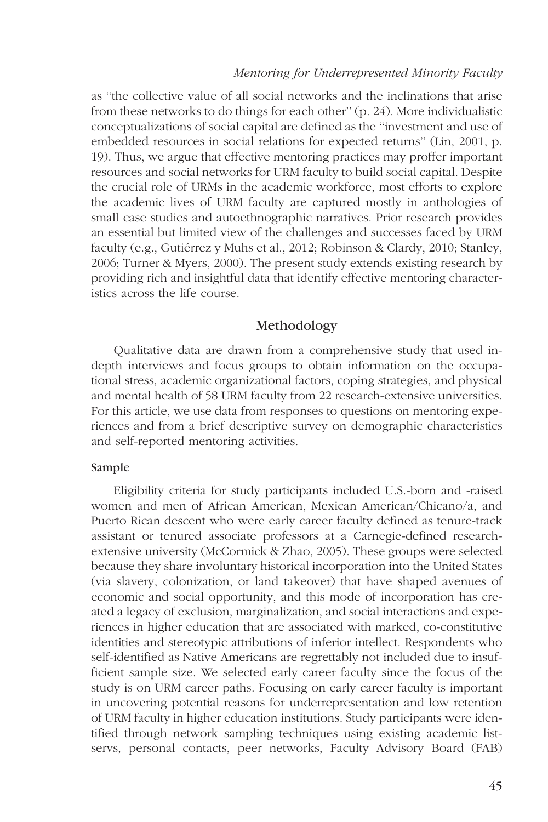as ''the collective value of all social networks and the inclinations that arise from these networks to do things for each other'' (p. 24). More individualistic conceptualizations of social capital are defined as the ''investment and use of embedded resources in social relations for expected returns'' (Lin, 2001, p. 19). Thus, we argue that effective mentoring practices may proffer important resources and social networks for URM faculty to build social capital. Despite the crucial role of URMs in the academic workforce, most efforts to explore the academic lives of URM faculty are captured mostly in anthologies of small case studies and autoethnographic narratives. Prior research provides an essential but limited view of the challenges and successes faced by URM faculty (e.g., Gutiérrez y Muhs et al., 2012; Robinson & Clardy, 2010; Stanley, 2006; Turner & Myers, 2000). The present study extends existing research by providing rich and insightful data that identify effective mentoring characteristics across the life course.

# Methodology

Qualitative data are drawn from a comprehensive study that used indepth interviews and focus groups to obtain information on the occupational stress, academic organizational factors, coping strategies, and physical and mental health of 58 URM faculty from 22 research-extensive universities. For this article, we use data from responses to questions on mentoring experiences and from a brief descriptive survey on demographic characteristics and self-reported mentoring activities.

# Sample

Eligibility criteria for study participants included U.S.-born and -raised women and men of African American, Mexican American/Chicano/a, and Puerto Rican descent who were early career faculty defined as tenure-track assistant or tenured associate professors at a Carnegie-defined researchextensive university (McCormick & Zhao, 2005). These groups were selected because they share involuntary historical incorporation into the United States (via slavery, colonization, or land takeover) that have shaped avenues of economic and social opportunity, and this mode of incorporation has created a legacy of exclusion, marginalization, and social interactions and experiences in higher education that are associated with marked, co-constitutive identities and stereotypic attributions of inferior intellect. Respondents who self-identified as Native Americans are regrettably not included due to insufficient sample size. We selected early career faculty since the focus of the study is on URM career paths. Focusing on early career faculty is important in uncovering potential reasons for underrepresentation and low retention of URM faculty in higher education institutions. Study participants were identified through network sampling techniques using existing academic listservs, personal contacts, peer networks, Faculty Advisory Board (FAB)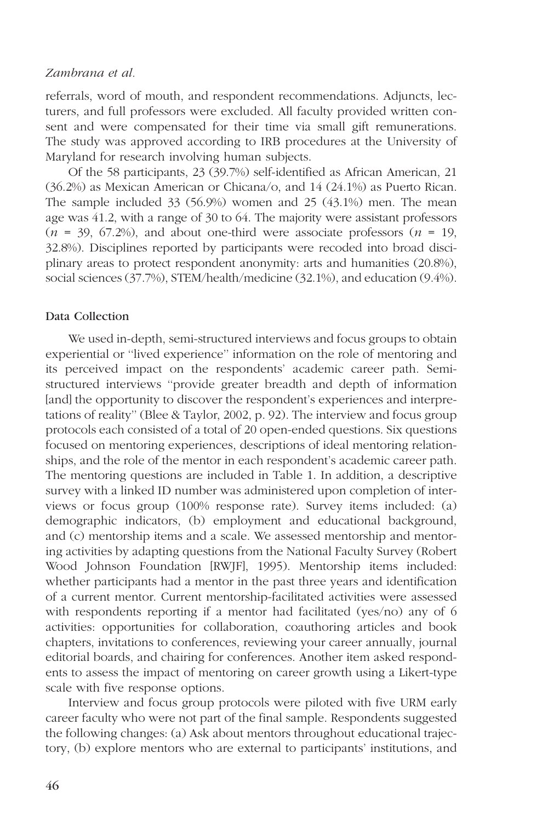referrals, word of mouth, and respondent recommendations. Adjuncts, lecturers, and full professors were excluded. All faculty provided written consent and were compensated for their time via small gift remunerations. The study was approved according to IRB procedures at the University of Maryland for research involving human subjects.

Of the 58 participants, 23 (39.7%) self-identified as African American, 21 (36.2%) as Mexican American or Chicana/o, and 14 (24.1%) as Puerto Rican. The sample included 33 (56.9%) women and 25 (43.1%) men. The mean age was 41.2, with a range of 30 to 64. The majority were assistant professors  $(n = 39, 67.2\%)$ , and about one-third were associate professors  $(n = 19,$ 32.8%). Disciplines reported by participants were recoded into broad disciplinary areas to protect respondent anonymity: arts and humanities (20.8%), social sciences (37.7%), STEM/health/medicine (32.1%), and education (9.4%).

#### Data Collection

We used in-depth, semi-structured interviews and focus groups to obtain experiential or ''lived experience'' information on the role of mentoring and its perceived impact on the respondents' academic career path. Semistructured interviews ''provide greater breadth and depth of information [and] the opportunity to discover the respondent's experiences and interpretations of reality'' (Blee & Taylor, 2002, p. 92). The interview and focus group protocols each consisted of a total of 20 open-ended questions. Six questions focused on mentoring experiences, descriptions of ideal mentoring relationships, and the role of the mentor in each respondent's academic career path. The mentoring questions are included in Table 1. In addition, a descriptive survey with a linked ID number was administered upon completion of interviews or focus group (100% response rate). Survey items included: (a) demographic indicators, (b) employment and educational background, and (c) mentorship items and a scale. We assessed mentorship and mentoring activities by adapting questions from the National Faculty Survey (Robert Wood Johnson Foundation [RWJF], 1995). Mentorship items included: whether participants had a mentor in the past three years and identification of a current mentor. Current mentorship-facilitated activities were assessed with respondents reporting if a mentor had facilitated (yes/no) any of  $6$ activities: opportunities for collaboration, coauthoring articles and book chapters, invitations to conferences, reviewing your career annually, journal editorial boards, and chairing for conferences. Another item asked respondents to assess the impact of mentoring on career growth using a Likert-type scale with five response options.

Interview and focus group protocols were piloted with five URM early career faculty who were not part of the final sample. Respondents suggested the following changes: (a) Ask about mentors throughout educational trajectory, (b) explore mentors who are external to participants' institutions, and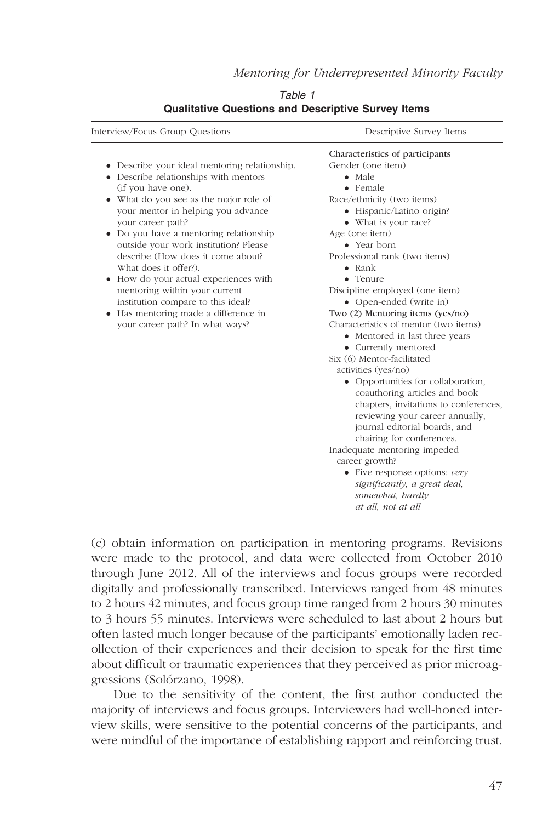#### Table 1 Qualitative Questions and Descriptive Survey Items

| Interview/Focus Group Questions                                                                                                                                                                                                                                                                                                                                                                                                                                                                                                                               | Descriptive Survey Items                                                                                                                                                                                                                                                                                                                                                                                                                                                                                                                                                                                                                                                                                                                                                                                                                                                                                       |
|---------------------------------------------------------------------------------------------------------------------------------------------------------------------------------------------------------------------------------------------------------------------------------------------------------------------------------------------------------------------------------------------------------------------------------------------------------------------------------------------------------------------------------------------------------------|----------------------------------------------------------------------------------------------------------------------------------------------------------------------------------------------------------------------------------------------------------------------------------------------------------------------------------------------------------------------------------------------------------------------------------------------------------------------------------------------------------------------------------------------------------------------------------------------------------------------------------------------------------------------------------------------------------------------------------------------------------------------------------------------------------------------------------------------------------------------------------------------------------------|
| • Describe your ideal mentoring relationship.<br>• Describe relationships with mentors<br>(if you have one).<br>• What do you see as the major role of<br>your mentor in helping you advance<br>your career path?<br>• Do you have a mentoring relationship<br>outside your work institution? Please<br>describe (How does it come about?<br>What does it offer?).<br>• How do your actual experiences with<br>mentoring within your current<br>institution compare to this ideal?<br>• Has mentoring made a difference in<br>your career path? In what ways? | Characteristics of participants<br>Gender (one item)<br>$\bullet$ Male<br>• Female<br>Race/ethnicity (two items)<br>• Hispanic/Latino origin?<br>• What is your race?<br>Age (one item)<br>• Year born<br>Professional rank (two items)<br>$\bullet$ Rank<br>• Tenure<br>Discipline employed (one item)<br>• Open-ended (write in)<br>Two (2) Mentoring items (yes/no)<br>Characteristics of mentor (two items)<br>• Mentored in last three years<br>• Currently mentored<br>Six (6) Mentor-facilitated<br>activities (yes/no)<br>• Opportunities for collaboration,<br>coauthoring articles and book<br>chapters, invitations to conferences,<br>reviewing your career annually,<br>journal editorial boards, and<br>chairing for conferences.<br>Inadequate mentoring impeded<br>career growth?<br>• Five response options: $very$<br>significantly, a great deal,<br>somewhat, hardly<br>at all, not at all |

(c) obtain information on participation in mentoring programs. Revisions were made to the protocol, and data were collected from October 2010 through June 2012. All of the interviews and focus groups were recorded digitally and professionally transcribed. Interviews ranged from 48 minutes to 2 hours 42 minutes, and focus group time ranged from 2 hours 30 minutes to 3 hours 55 minutes. Interviews were scheduled to last about 2 hours but often lasted much longer because of the participants' emotionally laden recollection of their experiences and their decision to speak for the first time about difficult or traumatic experiences that they perceived as prior microaggressions (Solórzano, 1998).

Due to the sensitivity of the content, the first author conducted the majority of interviews and focus groups. Interviewers had well-honed interview skills, were sensitive to the potential concerns of the participants, and were mindful of the importance of establishing rapport and reinforcing trust.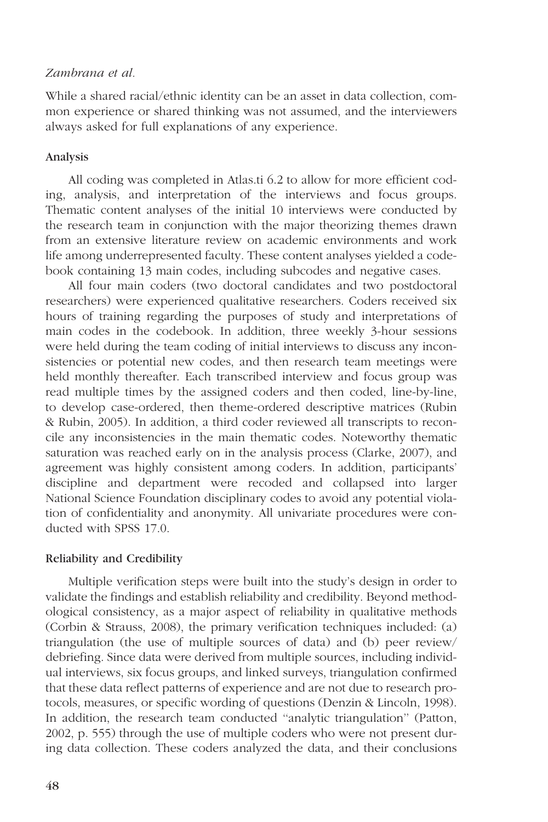While a shared racial/ethnic identity can be an asset in data collection, common experience or shared thinking was not assumed, and the interviewers always asked for full explanations of any experience.

## Analysis

All coding was completed in Atlas.ti 6.2 to allow for more efficient coding, analysis, and interpretation of the interviews and focus groups. Thematic content analyses of the initial 10 interviews were conducted by the research team in conjunction with the major theorizing themes drawn from an extensive literature review on academic environments and work life among underrepresented faculty. These content analyses yielded a codebook containing 13 main codes, including subcodes and negative cases.

All four main coders (two doctoral candidates and two postdoctoral researchers) were experienced qualitative researchers. Coders received six hours of training regarding the purposes of study and interpretations of main codes in the codebook. In addition, three weekly 3-hour sessions were held during the team coding of initial interviews to discuss any inconsistencies or potential new codes, and then research team meetings were held monthly thereafter. Each transcribed interview and focus group was read multiple times by the assigned coders and then coded, line-by-line, to develop case-ordered, then theme-ordered descriptive matrices (Rubin & Rubin, 2005). In addition, a third coder reviewed all transcripts to reconcile any inconsistencies in the main thematic codes. Noteworthy thematic saturation was reached early on in the analysis process (Clarke, 2007), and agreement was highly consistent among coders. In addition, participants' discipline and department were recoded and collapsed into larger National Science Foundation disciplinary codes to avoid any potential violation of confidentiality and anonymity. All univariate procedures were conducted with SPSS 17.0.

#### Reliability and Credibility

Multiple verification steps were built into the study's design in order to validate the findings and establish reliability and credibility. Beyond methodological consistency, as a major aspect of reliability in qualitative methods (Corbin & Strauss, 2008), the primary verification techniques included: (a) triangulation (the use of multiple sources of data) and (b) peer review/ debriefing. Since data were derived from multiple sources, including individual interviews, six focus groups, and linked surveys, triangulation confirmed that these data reflect patterns of experience and are not due to research protocols, measures, or specific wording of questions (Denzin & Lincoln, 1998). In addition, the research team conducted ''analytic triangulation'' (Patton, 2002, p. 555) through the use of multiple coders who were not present during data collection. These coders analyzed the data, and their conclusions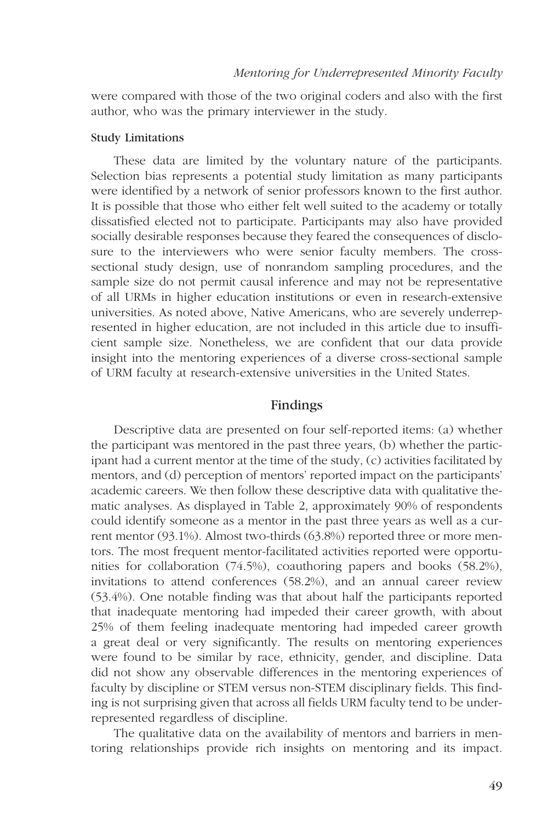were compared with those of the two original coders and also with the first author, who was the primary interviewer in the study.

#### Study Limitations

These data are limited by the voluntary nature of the participants. Selection bias represents a potential study limitation as many participants were identified by a network of senior professors known to the first author. It is possible that those who either felt well suited to the academy or totally dissatisfied elected not to participate. Participants may also have provided socially desirable responses because they feared the consequences of disclosure to the interviewers who were senior faculty members. The crosssectional study design, use of nonrandom sampling procedures, and the sample size do not permit causal inference and may not be representative of all URMs in higher education institutions or even in research-extensive universities. As noted above, Native Americans, who are severely underrepresented in higher education, are not included in this article due to insufficient sample size. Nonetheless, we are confident that our data provide insight into the mentoring experiences of a diverse cross-sectional sample of URM faculty at research-extensive universities in the United States.

#### Findings

Descriptive data are presented on four self-reported items: (a) whether the participant was mentored in the past three years, (b) whether the participant had a current mentor at the time of the study, (c) activities facilitated by mentors, and (d) perception of mentors' reported impact on the participants' academic careers. We then follow these descriptive data with qualitative thematic analyses. As displayed in Table 2, approximately 90% of respondents could identify someone as a mentor in the past three years as well as a current mentor (93.1%). Almost two-thirds (63.8%) reported three or more mentors. The most frequent mentor-facilitated activities reported were opportunities for collaboration (74.5%), coauthoring papers and books (58.2%), invitations to attend conferences (58.2%), and an annual career review (53.4%). One notable finding was that about half the participants reported that inadequate mentoring had impeded their career growth, with about 25% of them feeling inadequate mentoring had impeded career growth a great deal or very significantly. The results on mentoring experiences were found to be similar by race, ethnicity, gender, and discipline. Data did not show any observable differences in the mentoring experiences of faculty by discipline or STEM versus non-STEM disciplinary fields. This finding is not surprising given that across all fields URM faculty tend to be underrepresented regardless of discipline.

The qualitative data on the availability of mentors and barriers in mentoring relationships provide rich insights on mentoring and its impact.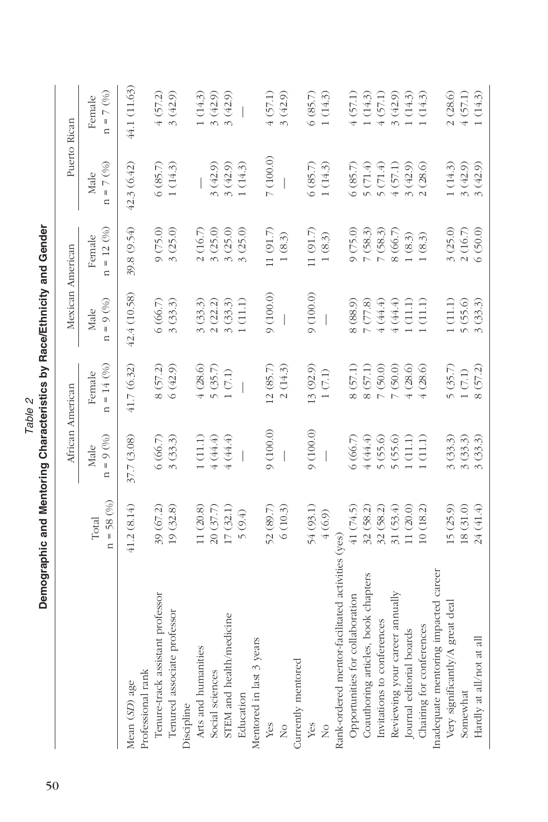|                                                  |                         | African American       |                                | Mexican American       |                                      |                        | Puerto Rican          |
|--------------------------------------------------|-------------------------|------------------------|--------------------------------|------------------------|--------------------------------------|------------------------|-----------------------|
|                                                  | $n = 58$ (%)<br>Total   | $= 9 (0)$<br>Male<br>η | $= 14 (%)$<br>Female<br>$\Box$ | $= 9 (0)$<br>Male<br>η | $= 12 (%)$<br>Female<br>$\mathbf{a}$ | $= 7 (%)$<br>Male<br>η | $n = 7$ (%)<br>Female |
| Professional rank<br>Mean (SD) age               | 41.2(8.14)              | 37.7 (3.08)            | 41.7(6.32)                     | 42.4 (10.58)           | 39.8 (9.54)                          | 42.3 (6.42)            | 44.1 (11.63)          |
| Tenure-track assistant professor                 | 39 (67.2)               | 6(66.7)                | 8 (57.2)                       | 6(66.7)                | 9(75.0)                              | (6, 85.7)              | 4(57.2)               |
| Tenured associate professor                      | 19(32.8)                | 3(33.3)                | 6(42.9)                        | 3(33.3)                | 3(25.0)                              | 1(14.3)                | 3(42.9)               |
| Discipline                                       |                         |                        |                                |                        |                                      |                        |                       |
| Arts and humanities                              | 11 (20.8)               | 1(11.1)                | 4(28.6)                        | 3(33.3)                | 2(16.7)                              |                        | 1(14.3)               |
| Social sciences                                  | 20(37.7)                | 4(44.4)                | 5(35.7)                        | 2(22.2)                | 3(25.0)                              | 3(42.9)                | 3(42.9)               |
| edicine<br>STEM and health/m                     | 17(32.1)                | 4(44.4)                | 1(7.1)                         | 3(33.3)                | 3(25.0)                              | 3(42.9)                | 3(42.9)               |
| Education                                        | (9.4)<br>M              |                        |                                | 1(11.1)                | (25.0)<br>$\infty$                   | 1(14.3)                |                       |
| Mentored in last 3 years                         |                         |                        |                                |                        |                                      |                        |                       |
| Yes                                              | 52 (89.7)               | 9(100.0)               | 12(85.7)                       | 9(100.0)               | 11(91.7)                             | 7(100.0)               | 4(57.1)               |
| $\sqrt{2}$                                       | 6(10.3)                 |                        | 2(14.3)                        |                        | (8.3)                                |                        | 3(42.9)               |
| Currently mentored                               |                         |                        |                                |                        |                                      |                        |                       |
| Yes                                              | 54 (93.1)               | 9(100.0)               | 13 (92.9)                      | 9(100.0)               | 11(91.7)                             | (6, 85.7)              | (6.65.7)              |
| $\frac{1}{2}$                                    | $4(6.9)$                |                        | $1\,(7.1)$                     |                        | 1(8.3)                               | 1(14.3)                | 1(14.3)               |
| Rank-ordered mentor-facilitated activities (yes) |                         |                        |                                |                        |                                      |                        |                       |
| Opportunities for collaboration                  | 41 (74.5)               | 6 (66.7)               | 8 (57.1)                       | 8 (88.9)               | 9(75.0)                              | (6.85.7)               | 4(57.1)               |
| Coauthoring articles, book chapters              | 32 (58.2)               | 4(44.4)                | 8 (57.1)                       | 7(77.8)                | 7(58.3)                              | 5(71.4)                | 1 $(14.3)$            |
| Invitations to conferences                       | 32 (58.2)               | 5 (55.6)               | 7(50.0)                        | $4(44.4)$              | 7(58.3)                              | 5(71.4)                | 4(57.1)               |
| Reviewing your career annually                   | 31 (53.4)               | 5 (55.6)               | (50.0)                         | $4(44.4)$              | 8 (66.7)                             | 4(57.1)                | (42.9)<br>$\infty$    |
| Journal editorial boards                         | 11(20.0)                | $1\ (11.1)$            | 4(28.6)                        | 1(11.1)                | 1(8.3)                               | 3(42.9)                | 1(14.3)               |
| Chairing for conferences                         | (18.2)<br>$\frac{1}{2}$ | (11.1)                 | 4(28.6)                        | 1(11.1)                | 1(8.3)                               | 2(28.6)                | (14.3)                |
| Inadequate mentoring impacted career             |                         |                        |                                |                        |                                      |                        |                       |
| great deal<br>Very significantly/A               | 15(25.9)                | 3(33.3)                | 5(35.7)                        | 1(11.1)                | 3(25.0)                              | 1(14.3)                | 2(28.6)               |
| Somewhat                                         | 18 (31.0)               | 3(33.3)                | 1(7.1)                         | 5 (55.6)               | 2(16.7)                              | 3(42.9)                | 4(57.1)               |
| $\exists$<br>Hardly at all/not at                | 24 (41.4)               | 3(33.3)                | 8 (57.2)                       | 3(33.3)                | 6(50.0)                              | 3(42.9)                | 1(14.3)               |

Demographic and Mentoring Characteristics by Race/Ethnicity and Gender Demographic and Mentoring Characteristics by Race/Ethnicity and Gender Table 2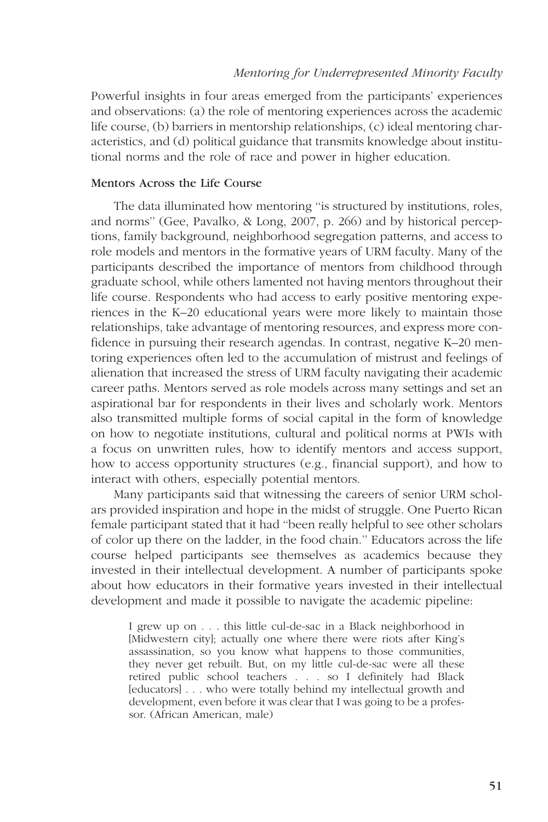Powerful insights in four areas emerged from the participants' experiences and observations: (a) the role of mentoring experiences across the academic life course, (b) barriers in mentorship relationships, (c) ideal mentoring characteristics, and (d) political guidance that transmits knowledge about institutional norms and the role of race and power in higher education.

## Mentors Across the Life Course

The data illuminated how mentoring ''is structured by institutions, roles, and norms'' (Gee, Pavalko, & Long, 2007, p. 266) and by historical perceptions, family background, neighborhood segregation patterns, and access to role models and mentors in the formative years of URM faculty. Many of the participants described the importance of mentors from childhood through graduate school, while others lamented not having mentors throughout their life course. Respondents who had access to early positive mentoring experiences in the K–20 educational years were more likely to maintain those relationships, take advantage of mentoring resources, and express more confidence in pursuing their research agendas. In contrast, negative K–20 mentoring experiences often led to the accumulation of mistrust and feelings of alienation that increased the stress of URM faculty navigating their academic career paths. Mentors served as role models across many settings and set an aspirational bar for respondents in their lives and scholarly work. Mentors also transmitted multiple forms of social capital in the form of knowledge on how to negotiate institutions, cultural and political norms at PWIs with a focus on unwritten rules, how to identify mentors and access support, how to access opportunity structures (e.g., financial support), and how to interact with others, especially potential mentors.

Many participants said that witnessing the careers of senior URM scholars provided inspiration and hope in the midst of struggle. One Puerto Rican female participant stated that it had ''been really helpful to see other scholars of color up there on the ladder, in the food chain.'' Educators across the life course helped participants see themselves as academics because they invested in their intellectual development. A number of participants spoke about how educators in their formative years invested in their intellectual development and made it possible to navigate the academic pipeline:

I grew up on . . . this little cul-de-sac in a Black neighborhood in [Midwestern city]; actually one where there were riots after King's assassination, so you know what happens to those communities, they never get rebuilt. But, on my little cul-de-sac were all these retired public school teachers . . . so I definitely had Black [educators] . . . who were totally behind my intellectual growth and development, even before it was clear that I was going to be a professor. (African American, male)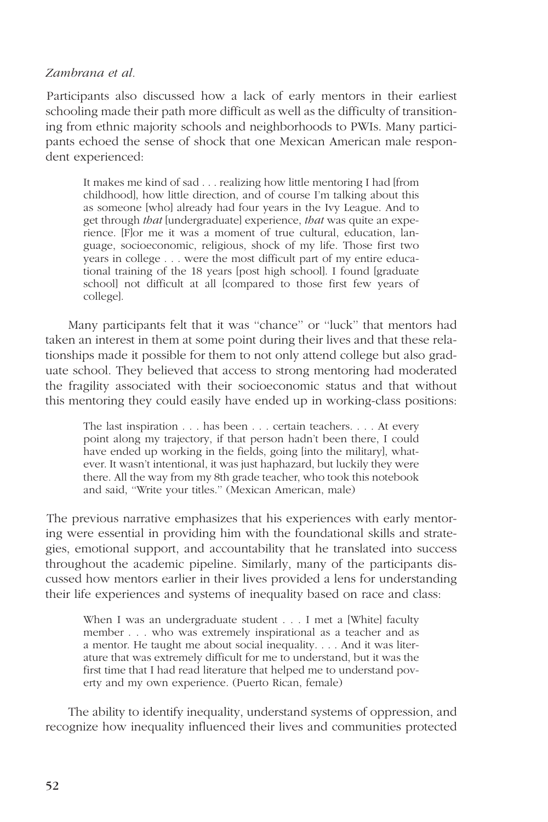Participants also discussed how a lack of early mentors in their earliest schooling made their path more difficult as well as the difficulty of transitioning from ethnic majority schools and neighborhoods to PWIs. Many participants echoed the sense of shock that one Mexican American male respondent experienced:

It makes me kind of sad . . . realizing how little mentoring I had [from childhood], how little direction, and of course I'm talking about this as someone [who] already had four years in the Ivy League. And to get through that [undergraduate] experience, that was quite an experience. [F]or me it was a moment of true cultural, education, language, socioeconomic, religious, shock of my life. Those first two years in college . . . were the most difficult part of my entire educational training of the 18 years [post high school]. I found [graduate school] not difficult at all [compared to those first few years of college].

Many participants felt that it was ''chance'' or ''luck'' that mentors had taken an interest in them at some point during their lives and that these relationships made it possible for them to not only attend college but also graduate school. They believed that access to strong mentoring had moderated the fragility associated with their socioeconomic status and that without this mentoring they could easily have ended up in working-class positions:

The last inspiration . . . has been . . . certain teachers. . . . At every point along my trajectory, if that person hadn't been there, I could have ended up working in the fields, going [into the military], whatever. It wasn't intentional, it was just haphazard, but luckily they were there. All the way from my 8th grade teacher, who took this notebook and said, ''Write your titles.'' (Mexican American, male)

The previous narrative emphasizes that his experiences with early mentoring were essential in providing him with the foundational skills and strategies, emotional support, and accountability that he translated into success throughout the academic pipeline. Similarly, many of the participants discussed how mentors earlier in their lives provided a lens for understanding their life experiences and systems of inequality based on race and class:

When I was an undergraduate student . . . I met a [White] faculty member . . . who was extremely inspirational as a teacher and as a mentor. He taught me about social inequality. . . . And it was literature that was extremely difficult for me to understand, but it was the first time that I had read literature that helped me to understand poverty and my own experience. (Puerto Rican, female)

The ability to identify inequality, understand systems of oppression, and recognize how inequality influenced their lives and communities protected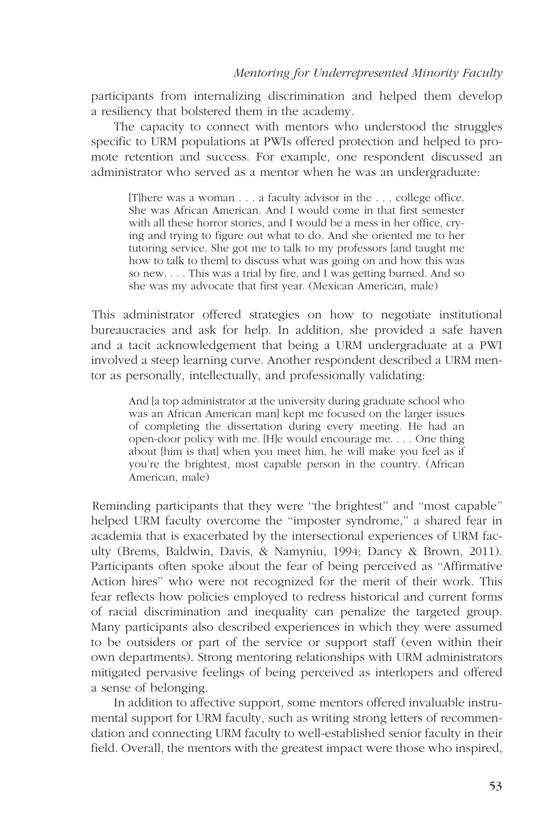participants from internalizing discrimination and helped them develop a resiliency that bolstered them in the academy.

The capacity to connect with mentors who understood the struggles specific to URM populations at PWIs offered protection and helped to promote retention and success. For example, one respondent discussed an administrator who served as a mentor when he was an undergraduate:

[T]here was a woman ...a faculty advisor in the . . . college office. She was African American. And I would come in that first semester with all these horror stories, and I would be a mess in her office, crying and trying to figure out what to do. And she oriented me to her tutoring service. She got me to talk to my professors [and taught me how to talk to them] to discuss what was going on and how this was so new. . . . This was a trial by fire, and I was getting burned. And so she was my advocate that first year. (Mexican American, male)

This administrator offered strategies on how to negotiate institutional bureaucracies and ask for help. In addition, she provided a safe haven and a tacit acknowledgement that being a URM undergraduate at a PWI involved a steep learning curve. Another respondent described a URM mentor as personally, intellectually, and professionally validating:

And [a top administrator at the university during graduate school who was an African American man] kept me focused on the larger issues of completing the dissertation during every meeting. He had an open-door policy with me. [H]e would encourage me. . . . One thing about [him is that] when you meet him, he will make you feel as if you're the brightest, most capable person in the country. (African American, male)

Reminding participants that they were ''the brightest'' and ''most capable'' helped URM faculty overcome the ''imposter syndrome,'' a shared fear in academia that is exacerbated by the intersectional experiences of URM faculty (Brems, Baldwin, Davis, & Namyniu, 1994; Dancy & Brown, 2011). Participants often spoke about the fear of being perceived as ''Affirmative Action hires'' who were not recognized for the merit of their work. This fear reflects how policies employed to redress historical and current forms of racial discrimination and inequality can penalize the targeted group. Many participants also described experiences in which they were assumed to be outsiders or part of the service or support staff (even within their own departments). Strong mentoring relationships with URM administrators mitigated pervasive feelings of being perceived as interlopers and offered a sense of belonging.

In addition to affective support, some mentors offered invaluable instrumental support for URM faculty, such as writing strong letters of recommendation and connecting URM faculty to well-established senior faculty in their field. Overall, the mentors with the greatest impact were those who inspired,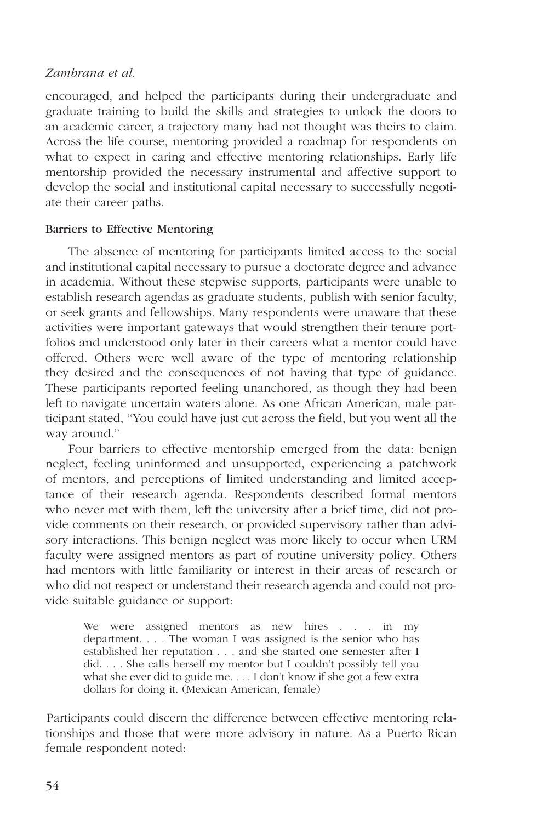encouraged, and helped the participants during their undergraduate and graduate training to build the skills and strategies to unlock the doors to an academic career, a trajectory many had not thought was theirs to claim. Across the life course, mentoring provided a roadmap for respondents on what to expect in caring and effective mentoring relationships. Early life mentorship provided the necessary instrumental and affective support to develop the social and institutional capital necessary to successfully negotiate their career paths.

## Barriers to Effective Mentoring

The absence of mentoring for participants limited access to the social and institutional capital necessary to pursue a doctorate degree and advance in academia. Without these stepwise supports, participants were unable to establish research agendas as graduate students, publish with senior faculty, or seek grants and fellowships. Many respondents were unaware that these activities were important gateways that would strengthen their tenure portfolios and understood only later in their careers what a mentor could have offered. Others were well aware of the type of mentoring relationship they desired and the consequences of not having that type of guidance. These participants reported feeling unanchored, as though they had been left to navigate uncertain waters alone. As one African American, male participant stated, ''You could have just cut across the field, but you went all the way around.''

Four barriers to effective mentorship emerged from the data: benign neglect, feeling uninformed and unsupported, experiencing a patchwork of mentors, and perceptions of limited understanding and limited acceptance of their research agenda. Respondents described formal mentors who never met with them, left the university after a brief time, did not provide comments on their research, or provided supervisory rather than advisory interactions. This benign neglect was more likely to occur when URM faculty were assigned mentors as part of routine university policy. Others had mentors with little familiarity or interest in their areas of research or who did not respect or understand their research agenda and could not provide suitable guidance or support:

We were assigned mentors as new hires . . . in my department. . . . The woman I was assigned is the senior who has established her reputation . . . and she started one semester after I did. . . . She calls herself my mentor but I couldn't possibly tell you what she ever did to guide me. . . . I don't know if she got a few extra dollars for doing it. (Mexican American, female)

Participants could discern the difference between effective mentoring relationships and those that were more advisory in nature. As a Puerto Rican female respondent noted: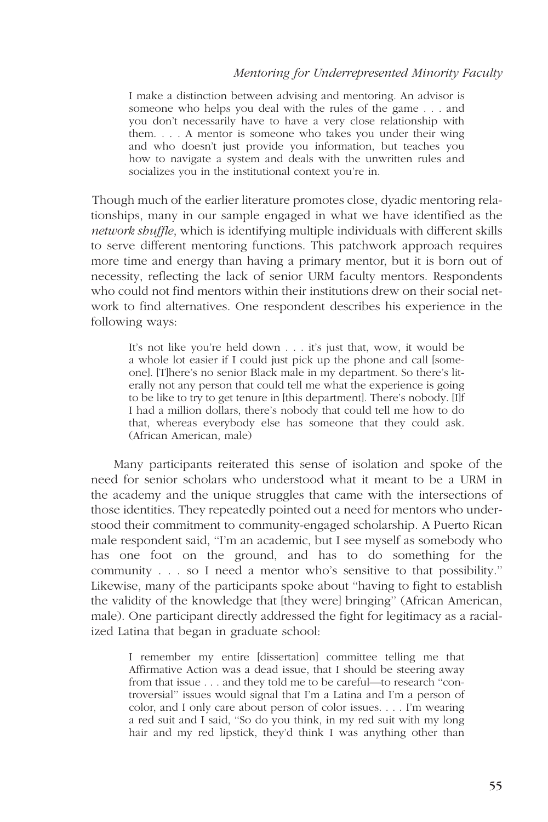I make a distinction between advising and mentoring. An advisor is someone who helps you deal with the rules of the game . . . and you don't necessarily have to have a very close relationship with them. . . . A mentor is someone who takes you under their wing and who doesn't just provide you information, but teaches you how to navigate a system and deals with the unwritten rules and socializes you in the institutional context you're in.

Though much of the earlier literature promotes close, dyadic mentoring relationships, many in our sample engaged in what we have identified as the network shuffle, which is identifying multiple individuals with different skills to serve different mentoring functions. This patchwork approach requires more time and energy than having a primary mentor, but it is born out of necessity, reflecting the lack of senior URM faculty mentors. Respondents who could not find mentors within their institutions drew on their social network to find alternatives. One respondent describes his experience in the following ways:

It's not like you're held down . . . it's just that, wow, it would be a whole lot easier if I could just pick up the phone and call [someone]. [T]here's no senior Black male in my department. So there's literally not any person that could tell me what the experience is going to be like to try to get tenure in [this department]. There's nobody. [I]f I had a million dollars, there's nobody that could tell me how to do that, whereas everybody else has someone that they could ask. (African American, male)

Many participants reiterated this sense of isolation and spoke of the need for senior scholars who understood what it meant to be a URM in the academy and the unique struggles that came with the intersections of those identities. They repeatedly pointed out a need for mentors who understood their commitment to community-engaged scholarship. A Puerto Rican male respondent said, ''I'm an academic, but I see myself as somebody who has one foot on the ground, and has to do something for the community . . . so I need a mentor who's sensitive to that possibility.'' Likewise, many of the participants spoke about ''having to fight to establish the validity of the knowledge that [they were] bringing'' (African American, male). One participant directly addressed the fight for legitimacy as a racialized Latina that began in graduate school:

I remember my entire [dissertation] committee telling me that Affirmative Action was a dead issue, that I should be steering away from that issue . . . and they told me to be careful—to research ''controversial'' issues would signal that I'm a Latina and I'm a person of color, and I only care about person of color issues. . . . I'm wearing a red suit and I said, ''So do you think, in my red suit with my long hair and my red lipstick, they'd think I was anything other than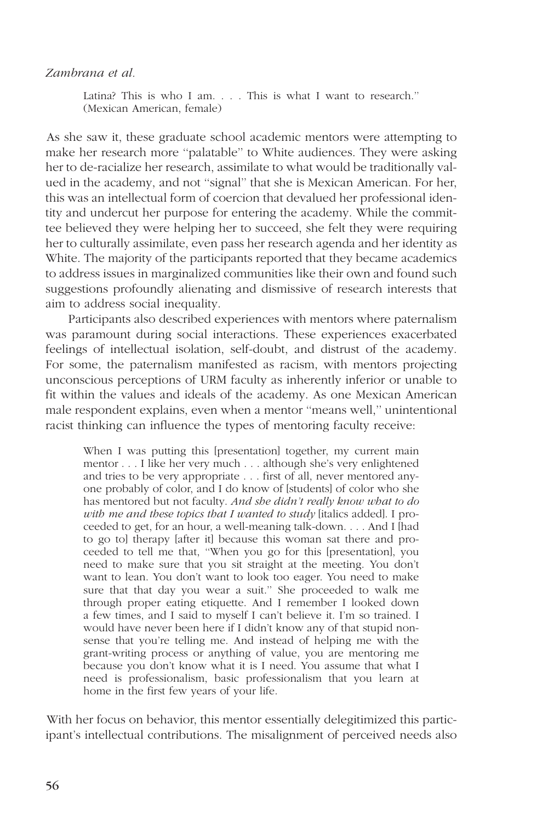Latina? This is who I am. . . . This is what I want to research.'' (Mexican American, female)

As she saw it, these graduate school academic mentors were attempting to make her research more ''palatable'' to White audiences. They were asking her to de-racialize her research, assimilate to what would be traditionally valued in the academy, and not ''signal'' that she is Mexican American. For her, this was an intellectual form of coercion that devalued her professional identity and undercut her purpose for entering the academy. While the committee believed they were helping her to succeed, she felt they were requiring her to culturally assimilate, even pass her research agenda and her identity as White. The majority of the participants reported that they became academics to address issues in marginalized communities like their own and found such suggestions profoundly alienating and dismissive of research interests that aim to address social inequality.

Participants also described experiences with mentors where paternalism was paramount during social interactions. These experiences exacerbated feelings of intellectual isolation, self-doubt, and distrust of the academy. For some, the paternalism manifested as racism, with mentors projecting unconscious perceptions of URM faculty as inherently inferior or unable to fit within the values and ideals of the academy. As one Mexican American male respondent explains, even when a mentor ''means well,'' unintentional racist thinking can influence the types of mentoring faculty receive:

When I was putting this [presentation] together, my current main mentor . . . I like her very much . . . although she's very enlightened and tries to be very appropriate . . . first of all, never mentored anyone probably of color, and I do know of [students] of color who she has mentored but not faculty. And she didn't really know what to do with me and these topics that I wanted to study [italics added]. I proceeded to get, for an hour, a well-meaning talk-down. . . . And I [had to go to] therapy [after it] because this woman sat there and proceeded to tell me that, ''When you go for this [presentation], you need to make sure that you sit straight at the meeting. You don't want to lean. You don't want to look too eager. You need to make sure that that day you wear a suit.'' She proceeded to walk me through proper eating etiquette. And I remember I looked down a few times, and I said to myself I can't believe it. I'm so trained. I would have never been here if I didn't know any of that stupid nonsense that you're telling me. And instead of helping me with the grant-writing process or anything of value, you are mentoring me because you don't know what it is I need. You assume that what I need is professionalism, basic professionalism that you learn at home in the first few years of your life.

With her focus on behavior, this mentor essentially delegitimized this participant's intellectual contributions. The misalignment of perceived needs also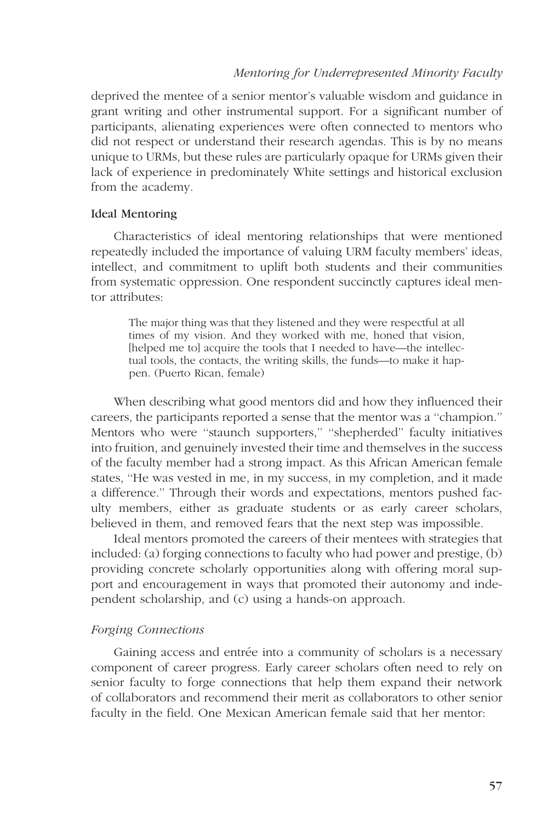deprived the mentee of a senior mentor's valuable wisdom and guidance in grant writing and other instrumental support. For a significant number of participants, alienating experiences were often connected to mentors who did not respect or understand their research agendas. This is by no means unique to URMs, but these rules are particularly opaque for URMs given their lack of experience in predominately White settings and historical exclusion from the academy.

## Ideal Mentoring

Characteristics of ideal mentoring relationships that were mentioned repeatedly included the importance of valuing URM faculty members' ideas, intellect, and commitment to uplift both students and their communities from systematic oppression. One respondent succinctly captures ideal mentor attributes:

The major thing was that they listened and they were respectful at all times of my vision. And they worked with me, honed that vision, [helped me to] acquire the tools that I needed to have—the intellectual tools, the contacts, the writing skills, the funds—to make it happen. (Puerto Rican, female)

When describing what good mentors did and how they influenced their careers, the participants reported a sense that the mentor was a ''champion.'' Mentors who were ''staunch supporters,'' ''shepherded'' faculty initiatives into fruition, and genuinely invested their time and themselves in the success of the faculty member had a strong impact. As this African American female states, ''He was vested in me, in my success, in my completion, and it made a difference.'' Through their words and expectations, mentors pushed faculty members, either as graduate students or as early career scholars, believed in them, and removed fears that the next step was impossible.

Ideal mentors promoted the careers of their mentees with strategies that included: (a) forging connections to faculty who had power and prestige, (b) providing concrete scholarly opportunities along with offering moral support and encouragement in ways that promoted their autonomy and independent scholarship, and (c) using a hands-on approach.

#### Forging Connections

Gaining access and entrée into a community of scholars is a necessary component of career progress. Early career scholars often need to rely on senior faculty to forge connections that help them expand their network of collaborators and recommend their merit as collaborators to other senior faculty in the field. One Mexican American female said that her mentor: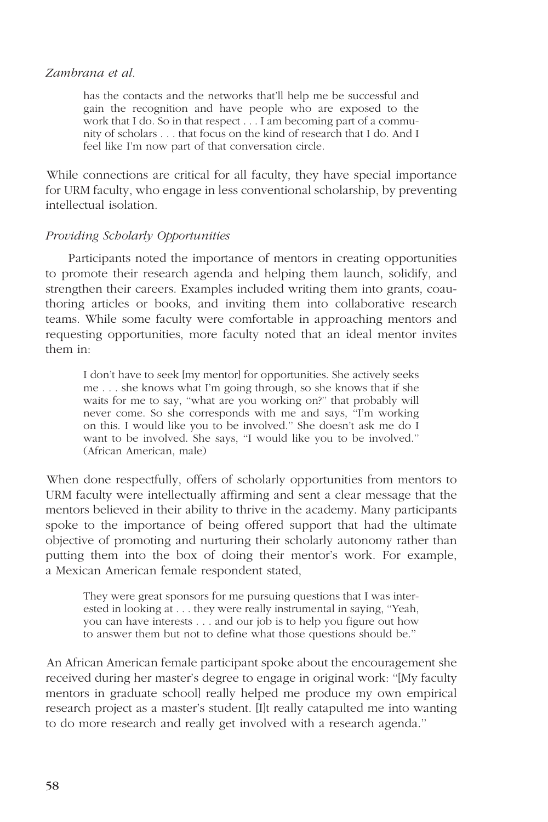has the contacts and the networks that'll help me be successful and gain the recognition and have people who are exposed to the work that I do. So in that respect . . . I am becoming part of a community of scholars . . . that focus on the kind of research that I do. And I feel like I'm now part of that conversation circle.

While connections are critical for all faculty, they have special importance for URM faculty, who engage in less conventional scholarship, by preventing intellectual isolation.

# Providing Scholarly Opportunities

Participants noted the importance of mentors in creating opportunities to promote their research agenda and helping them launch, solidify, and strengthen their careers. Examples included writing them into grants, coauthoring articles or books, and inviting them into collaborative research teams. While some faculty were comfortable in approaching mentors and requesting opportunities, more faculty noted that an ideal mentor invites them in:

I don't have to seek [my mentor] for opportunities. She actively seeks me . . . she knows what I'm going through, so she knows that if she waits for me to say, ''what are you working on?'' that probably will never come. So she corresponds with me and says, ''I'm working on this. I would like you to be involved.'' She doesn't ask me do I want to be involved. She says, ''I would like you to be involved.'' (African American, male)

When done respectfully, offers of scholarly opportunities from mentors to URM faculty were intellectually affirming and sent a clear message that the mentors believed in their ability to thrive in the academy. Many participants spoke to the importance of being offered support that had the ultimate objective of promoting and nurturing their scholarly autonomy rather than putting them into the box of doing their mentor's work. For example, a Mexican American female respondent stated,

They were great sponsors for me pursuing questions that I was interested in looking at . . . they were really instrumental in saying, ''Yeah, you can have interests . . . and our job is to help you figure out how to answer them but not to define what those questions should be.''

An African American female participant spoke about the encouragement she received during her master's degree to engage in original work: ''[My faculty mentors in graduate school] really helped me produce my own empirical research project as a master's student. [I]t really catapulted me into wanting to do more research and really get involved with a research agenda.''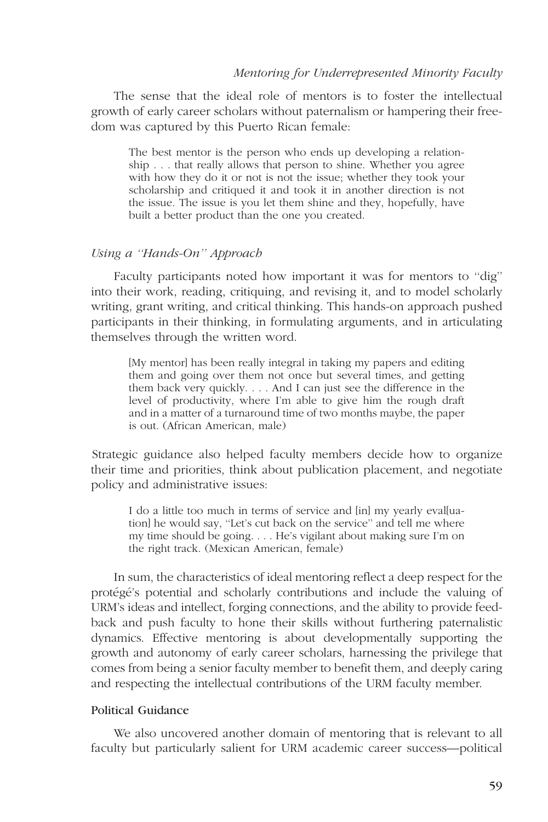The sense that the ideal role of mentors is to foster the intellectual growth of early career scholars without paternalism or hampering their freedom was captured by this Puerto Rican female:

The best mentor is the person who ends up developing a relationship . . . that really allows that person to shine. Whether you agree with how they do it or not is not the issue; whether they took your scholarship and critiqued it and took it in another direction is not the issue. The issue is you let them shine and they, hopefully, have built a better product than the one you created.

#### Using a ''Hands-On'' Approach

Faculty participants noted how important it was for mentors to ''dig'' into their work, reading, critiquing, and revising it, and to model scholarly writing, grant writing, and critical thinking. This hands-on approach pushed participants in their thinking, in formulating arguments, and in articulating themselves through the written word.

[My mentor] has been really integral in taking my papers and editing them and going over them not once but several times, and getting them back very quickly. . . . And I can just see the difference in the level of productivity, where I'm able to give him the rough draft and in a matter of a turnaround time of two months maybe, the paper is out. (African American, male)

Strategic guidance also helped faculty members decide how to organize their time and priorities, think about publication placement, and negotiate policy and administrative issues:

I do a little too much in terms of service and [in] my yearly eval[uation] he would say, ''Let's cut back on the service'' and tell me where my time should be going. . . . He's vigilant about making sure I'm on the right track. (Mexican American, female)

In sum, the characteristics of ideal mentoring reflect a deep respect for the protégé's potential and scholarly contributions and include the valuing of URM's ideas and intellect, forging connections, and the ability to provide feedback and push faculty to hone their skills without furthering paternalistic dynamics. Effective mentoring is about developmentally supporting the growth and autonomy of early career scholars, harnessing the privilege that comes from being a senior faculty member to benefit them, and deeply caring and respecting the intellectual contributions of the URM faculty member.

## Political Guidance

We also uncovered another domain of mentoring that is relevant to all faculty but particularly salient for URM academic career success—political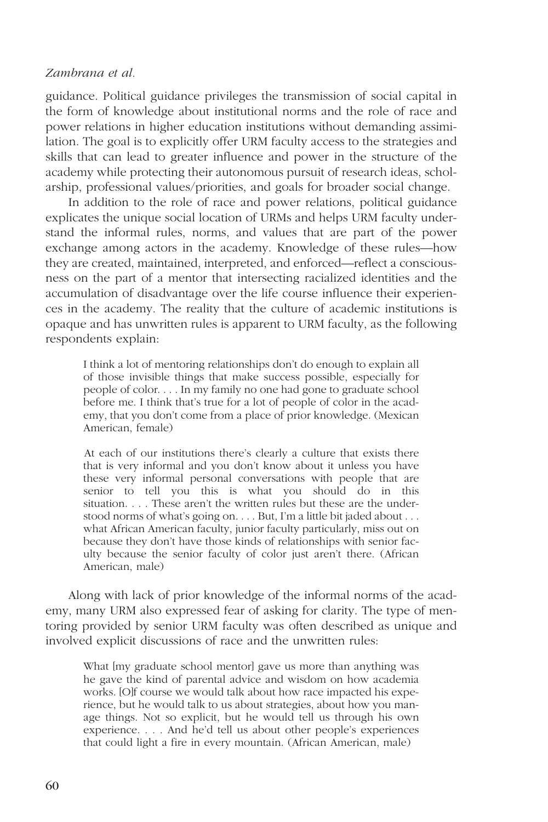guidance. Political guidance privileges the transmission of social capital in the form of knowledge about institutional norms and the role of race and power relations in higher education institutions without demanding assimilation. The goal is to explicitly offer URM faculty access to the strategies and skills that can lead to greater influence and power in the structure of the academy while protecting their autonomous pursuit of research ideas, scholarship, professional values/priorities, and goals for broader social change.

In addition to the role of race and power relations, political guidance explicates the unique social location of URMs and helps URM faculty understand the informal rules, norms, and values that are part of the power exchange among actors in the academy. Knowledge of these rules—how they are created, maintained, interpreted, and enforced—reflect a consciousness on the part of a mentor that intersecting racialized identities and the accumulation of disadvantage over the life course influence their experiences in the academy. The reality that the culture of academic institutions is opaque and has unwritten rules is apparent to URM faculty, as the following respondents explain:

I think a lot of mentoring relationships don't do enough to explain all of those invisible things that make success possible, especially for people of color. . . . In my family no one had gone to graduate school before me. I think that's true for a lot of people of color in the academy, that you don't come from a place of prior knowledge. (Mexican American, female)

At each of our institutions there's clearly a culture that exists there that is very informal and you don't know about it unless you have these very informal personal conversations with people that are senior to tell you this is what you should do in this situation. . . . These aren't the written rules but these are the understood norms of what's going on. . . . But, I'm a little bit jaded about . . . what African American faculty, junior faculty particularly, miss out on because they don't have those kinds of relationships with senior faculty because the senior faculty of color just aren't there. (African American, male)

Along with lack of prior knowledge of the informal norms of the academy, many URM also expressed fear of asking for clarity. The type of mentoring provided by senior URM faculty was often described as unique and involved explicit discussions of race and the unwritten rules:

What [my graduate school mentor] gave us more than anything was he gave the kind of parental advice and wisdom on how academia works. [O]f course we would talk about how race impacted his experience, but he would talk to us about strategies, about how you manage things. Not so explicit, but he would tell us through his own experience. . . . And he'd tell us about other people's experiences that could light a fire in every mountain. (African American, male)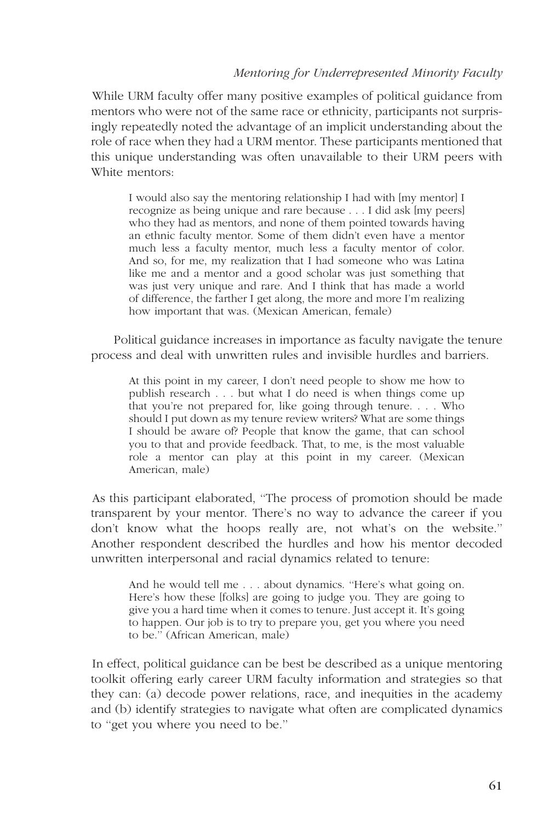While URM faculty offer many positive examples of political guidance from mentors who were not of the same race or ethnicity, participants not surprisingly repeatedly noted the advantage of an implicit understanding about the role of race when they had a URM mentor. These participants mentioned that this unique understanding was often unavailable to their URM peers with White mentors:

I would also say the mentoring relationship I had with [my mentor] I recognize as being unique and rare because . . . I did ask [my peers] who they had as mentors, and none of them pointed towards having an ethnic faculty mentor. Some of them didn't even have a mentor much less a faculty mentor, much less a faculty mentor of color. And so, for me, my realization that I had someone who was Latina like me and a mentor and a good scholar was just something that was just very unique and rare. And I think that has made a world of difference, the farther I get along, the more and more I'm realizing how important that was. (Mexican American, female)

Political guidance increases in importance as faculty navigate the tenure process and deal with unwritten rules and invisible hurdles and barriers.

At this point in my career, I don't need people to show me how to publish research . . . but what I do need is when things come up that you're not prepared for, like going through tenure. . . . Who should I put down as my tenure review writers? What are some things I should be aware of? People that know the game, that can school you to that and provide feedback. That, to me, is the most valuable role a mentor can play at this point in my career. (Mexican American, male)

As this participant elaborated, ''The process of promotion should be made transparent by your mentor. There's no way to advance the career if you don't know what the hoops really are, not what's on the website.'' Another respondent described the hurdles and how his mentor decoded unwritten interpersonal and racial dynamics related to tenure:

And he would tell me . . . about dynamics. ''Here's what going on. Here's how these [folks] are going to judge you. They are going to give you a hard time when it comes to tenure. Just accept it. It's going to happen. Our job is to try to prepare you, get you where you need to be.'' (African American, male)

In effect, political guidance can be best be described as a unique mentoring toolkit offering early career URM faculty information and strategies so that they can: (a) decode power relations, race, and inequities in the academy and (b) identify strategies to navigate what often are complicated dynamics to ''get you where you need to be.''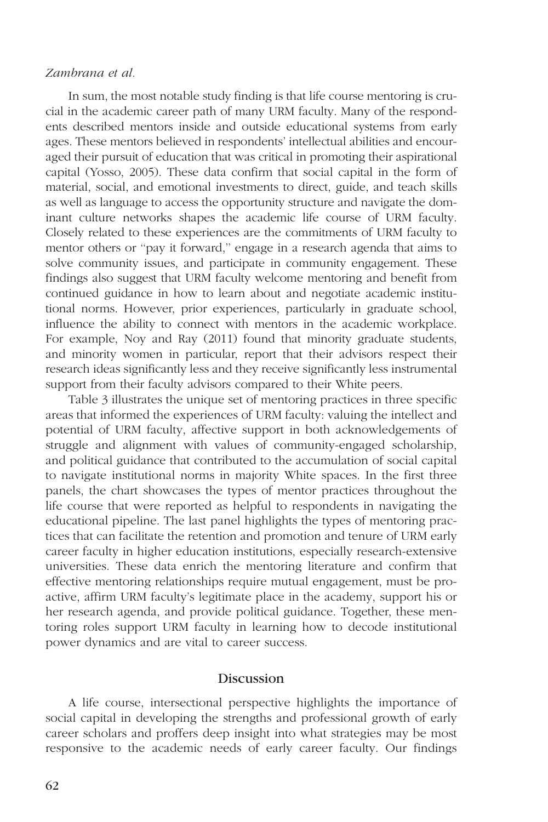In sum, the most notable study finding is that life course mentoring is crucial in the academic career path of many URM faculty. Many of the respondents described mentors inside and outside educational systems from early ages. These mentors believed in respondents' intellectual abilities and encouraged their pursuit of education that was critical in promoting their aspirational capital (Yosso, 2005). These data confirm that social capital in the form of material, social, and emotional investments to direct, guide, and teach skills as well as language to access the opportunity structure and navigate the dominant culture networks shapes the academic life course of URM faculty. Closely related to these experiences are the commitments of URM faculty to mentor others or ''pay it forward,'' engage in a research agenda that aims to solve community issues, and participate in community engagement. These findings also suggest that URM faculty welcome mentoring and benefit from continued guidance in how to learn about and negotiate academic institutional norms. However, prior experiences, particularly in graduate school, influence the ability to connect with mentors in the academic workplace. For example, Noy and Ray (2011) found that minority graduate students, and minority women in particular, report that their advisors respect their research ideas significantly less and they receive significantly less instrumental support from their faculty advisors compared to their White peers.

Table 3 illustrates the unique set of mentoring practices in three specific areas that informed the experiences of URM faculty: valuing the intellect and potential of URM faculty, affective support in both acknowledgements of struggle and alignment with values of community-engaged scholarship, and political guidance that contributed to the accumulation of social capital to navigate institutional norms in majority White spaces. In the first three panels, the chart showcases the types of mentor practices throughout the life course that were reported as helpful to respondents in navigating the educational pipeline. The last panel highlights the types of mentoring practices that can facilitate the retention and promotion and tenure of URM early career faculty in higher education institutions, especially research-extensive universities. These data enrich the mentoring literature and confirm that effective mentoring relationships require mutual engagement, must be proactive, affirm URM faculty's legitimate place in the academy, support his or her research agenda, and provide political guidance. Together, these mentoring roles support URM faculty in learning how to decode institutional power dynamics and are vital to career success.

# Discussion

A life course, intersectional perspective highlights the importance of social capital in developing the strengths and professional growth of early career scholars and proffers deep insight into what strategies may be most responsive to the academic needs of early career faculty. Our findings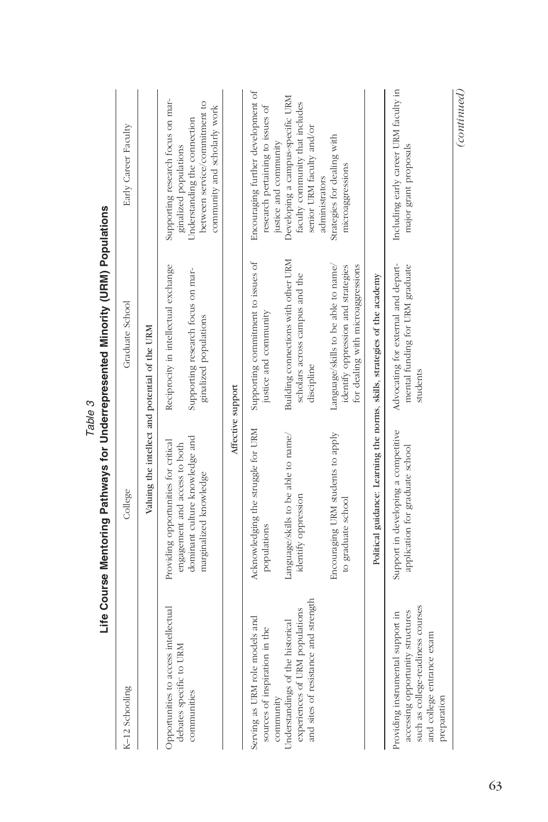|                                                                                                                                                              |                                                                                                                                   | Life Course Mentoring Pathways for Underrepresented Minority (URM) Populations                                 |                                                                                                                                                             |
|--------------------------------------------------------------------------------------------------------------------------------------------------------------|-----------------------------------------------------------------------------------------------------------------------------------|----------------------------------------------------------------------------------------------------------------|-------------------------------------------------------------------------------------------------------------------------------------------------------------|
| K-12 Schooling                                                                                                                                               | College                                                                                                                           | Graduate School                                                                                                | Early Career Faculty                                                                                                                                        |
|                                                                                                                                                              |                                                                                                                                   | Valuing the intellect and potential of the URM                                                                 |                                                                                                                                                             |
| Opportunities to access intellectual<br>debates specific to URM<br>communities                                                                               | dominant culture knowledge and<br>Providing opportunities for critical<br>engagement and access to both<br>marginalized knowledge | Reciprocity in intellectual exchange<br>Supporting research focus on mar-<br>ginalized populations             | Supporting research focus on mar-<br>between service/commitment to<br>community and scholarly work<br>Understanding the connection<br>ginalized populations |
|                                                                                                                                                              |                                                                                                                                   | Affective support                                                                                              |                                                                                                                                                             |
| Serving as URM role models and<br>in the<br>sources of inspiration<br>community                                                                              | Acknowledging the struggle for URM<br>populations                                                                                 | Supporting commitment to issues of<br>justice and community                                                    | Encouraging further development of<br>research pertaining to issues of<br>justice and community                                                             |
| and sites of resistance and strength<br>experiences of URM populations<br>Understandings of the historical                                                   | Language/skills to be able to name/<br>identify oppression                                                                        | Building connections with other URM<br>scholars across campus and the<br>discipline                            | Developing a campus-specific URM<br>faculty community that includes<br>senior URM faculty and/or<br>administrators                                          |
|                                                                                                                                                              | Encouraging URM students to apply<br>to graduate school                                                                           | Language/skills to be able to name/<br>for dealing with microaggressions<br>identify oppression and strategies | Strategies for dealing with<br>microaggressions                                                                                                             |
|                                                                                                                                                              |                                                                                                                                   | Political guidance: Learning the norms, skills, strategies of the academy                                      |                                                                                                                                                             |
| such as college-readiness courses<br>accessing opportunity structures<br>support in<br>exam<br>Providing instrumental<br>and college entrance<br>preparation | Support in developing a competitive<br>application for graduate school                                                            | Advocating for external and depart-<br>mental funding for URM graduate<br>students                             | Including early career URM faculty in<br>major grant proposals                                                                                              |
|                                                                                                                                                              |                                                                                                                                   |                                                                                                                | $_{\rm {continued}}$                                                                                                                                        |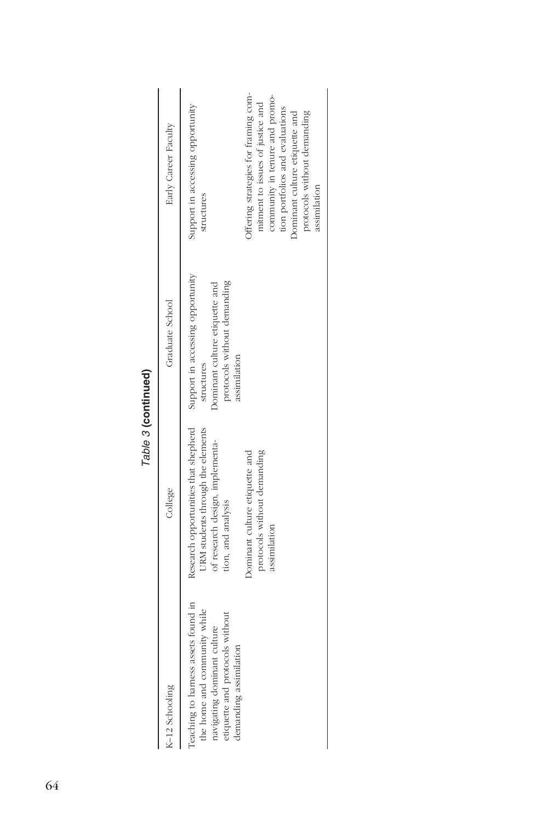|                                                                                                                                                                 |                                                                                                                                                                                                                     | lawe o (collulled)                                                                                                              |                                                                                                                                                                                                                                                                                  |
|-----------------------------------------------------------------------------------------------------------------------------------------------------------------|---------------------------------------------------------------------------------------------------------------------------------------------------------------------------------------------------------------------|---------------------------------------------------------------------------------------------------------------------------------|----------------------------------------------------------------------------------------------------------------------------------------------------------------------------------------------------------------------------------------------------------------------------------|
| K-12 Schooling                                                                                                                                                  | College                                                                                                                                                                                                             | Graduate School                                                                                                                 | Early Career Faculty                                                                                                                                                                                                                                                             |
| Teaching to harness assets found in<br>the home and community while<br>stiquette and protocols without<br>navigating dominant culture<br>demanding assimilation | Research opportunities that shepherd<br>URM students through the elements<br>of research design, implementa-<br>Dominant culture etiquette and<br>protocols without demanding<br>tion, and analysis<br>assimilation | Support in accessing opportunity<br>protocols without demanding<br>Dominant culture etiquette and<br>assimilation<br>structures | Offering strategies for framing com-<br>community in tenure and promo-<br>mitment to issues of justice and<br>Support in accessing opportunity<br>tion portfolios and evaluations<br>protocols without demanding<br>Dominant culture etiquette and<br>assimilation<br>structures |
|                                                                                                                                                                 |                                                                                                                                                                                                                     |                                                                                                                                 |                                                                                                                                                                                                                                                                                  |

Table 3 (continued) Table 3 (continued)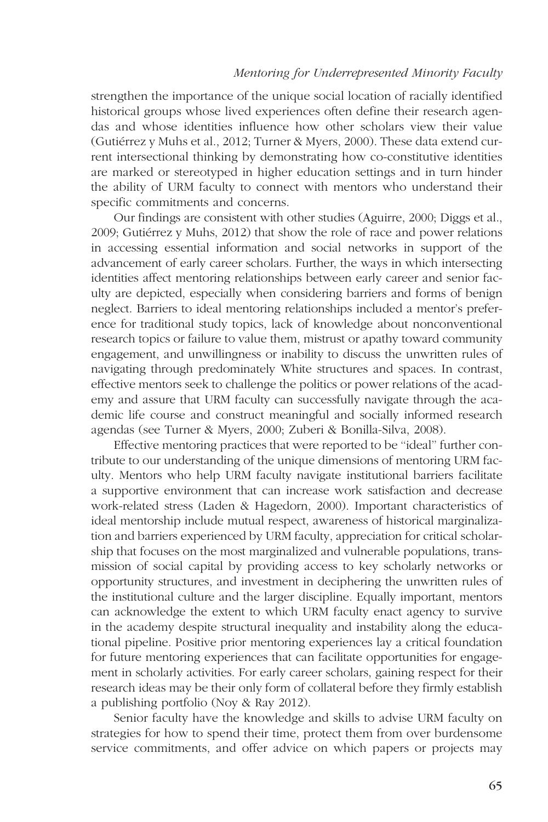strengthen the importance of the unique social location of racially identified historical groups whose lived experiences often define their research agendas and whose identities influence how other scholars view their value (Gutiérrez y Muhs et al., 2012; Turner & Myers, 2000). These data extend current intersectional thinking by demonstrating how co-constitutive identities are marked or stereotyped in higher education settings and in turn hinder the ability of URM faculty to connect with mentors who understand their specific commitments and concerns.

Our findings are consistent with other studies (Aguirre, 2000; Diggs et al., 2009; Gutiérrez y Muhs, 2012) that show the role of race and power relations in accessing essential information and social networks in support of the advancement of early career scholars. Further, the ways in which intersecting identities affect mentoring relationships between early career and senior faculty are depicted, especially when considering barriers and forms of benign neglect. Barriers to ideal mentoring relationships included a mentor's preference for traditional study topics, lack of knowledge about nonconventional research topics or failure to value them, mistrust or apathy toward community engagement, and unwillingness or inability to discuss the unwritten rules of navigating through predominately White structures and spaces. In contrast, effective mentors seek to challenge the politics or power relations of the academy and assure that URM faculty can successfully navigate through the academic life course and construct meaningful and socially informed research agendas (see Turner & Myers, 2000; Zuberi & Bonilla-Silva, 2008).

Effective mentoring practices that were reported to be ''ideal'' further contribute to our understanding of the unique dimensions of mentoring URM faculty. Mentors who help URM faculty navigate institutional barriers facilitate a supportive environment that can increase work satisfaction and decrease work-related stress (Laden & Hagedorn, 2000). Important characteristics of ideal mentorship include mutual respect, awareness of historical marginalization and barriers experienced by URM faculty, appreciation for critical scholarship that focuses on the most marginalized and vulnerable populations, transmission of social capital by providing access to key scholarly networks or opportunity structures, and investment in deciphering the unwritten rules of the institutional culture and the larger discipline. Equally important, mentors can acknowledge the extent to which URM faculty enact agency to survive in the academy despite structural inequality and instability along the educational pipeline. Positive prior mentoring experiences lay a critical foundation for future mentoring experiences that can facilitate opportunities for engagement in scholarly activities. For early career scholars, gaining respect for their research ideas may be their only form of collateral before they firmly establish a publishing portfolio (Noy & Ray 2012).

Senior faculty have the knowledge and skills to advise URM faculty on strategies for how to spend their time, protect them from over burdensome service commitments, and offer advice on which papers or projects may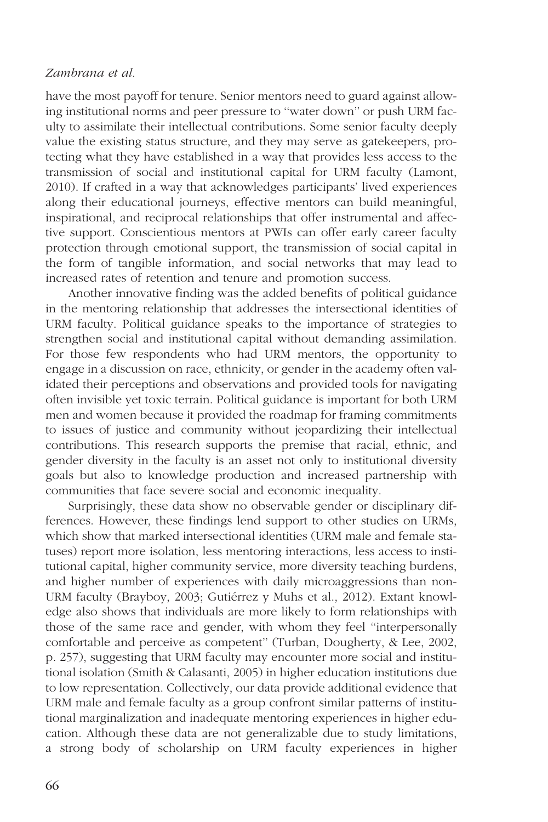have the most payoff for tenure. Senior mentors need to guard against allowing institutional norms and peer pressure to ''water down'' or push URM faculty to assimilate their intellectual contributions. Some senior faculty deeply value the existing status structure, and they may serve as gatekeepers, protecting what they have established in a way that provides less access to the transmission of social and institutional capital for URM faculty (Lamont, 2010). If crafted in a way that acknowledges participants' lived experiences along their educational journeys, effective mentors can build meaningful, inspirational, and reciprocal relationships that offer instrumental and affective support. Conscientious mentors at PWIs can offer early career faculty protection through emotional support, the transmission of social capital in the form of tangible information, and social networks that may lead to increased rates of retention and tenure and promotion success.

Another innovative finding was the added benefits of political guidance in the mentoring relationship that addresses the intersectional identities of URM faculty. Political guidance speaks to the importance of strategies to strengthen social and institutional capital without demanding assimilation. For those few respondents who had URM mentors, the opportunity to engage in a discussion on race, ethnicity, or gender in the academy often validated their perceptions and observations and provided tools for navigating often invisible yet toxic terrain. Political guidance is important for both URM men and women because it provided the roadmap for framing commitments to issues of justice and community without jeopardizing their intellectual contributions. This research supports the premise that racial, ethnic, and gender diversity in the faculty is an asset not only to institutional diversity goals but also to knowledge production and increased partnership with communities that face severe social and economic inequality.

Surprisingly, these data show no observable gender or disciplinary differences. However, these findings lend support to other studies on URMs, which show that marked intersectional identities (URM male and female statuses) report more isolation, less mentoring interactions, less access to institutional capital, higher community service, more diversity teaching burdens, and higher number of experiences with daily microaggressions than non-URM faculty (Brayboy, 2003; Gutiérrez y Muhs et al., 2012). Extant knowledge also shows that individuals are more likely to form relationships with those of the same race and gender, with whom they feel ''interpersonally comfortable and perceive as competent'' (Turban, Dougherty, & Lee, 2002, p. 257), suggesting that URM faculty may encounter more social and institutional isolation (Smith & Calasanti, 2005) in higher education institutions due to low representation. Collectively, our data provide additional evidence that URM male and female faculty as a group confront similar patterns of institutional marginalization and inadequate mentoring experiences in higher education. Although these data are not generalizable due to study limitations, a strong body of scholarship on URM faculty experiences in higher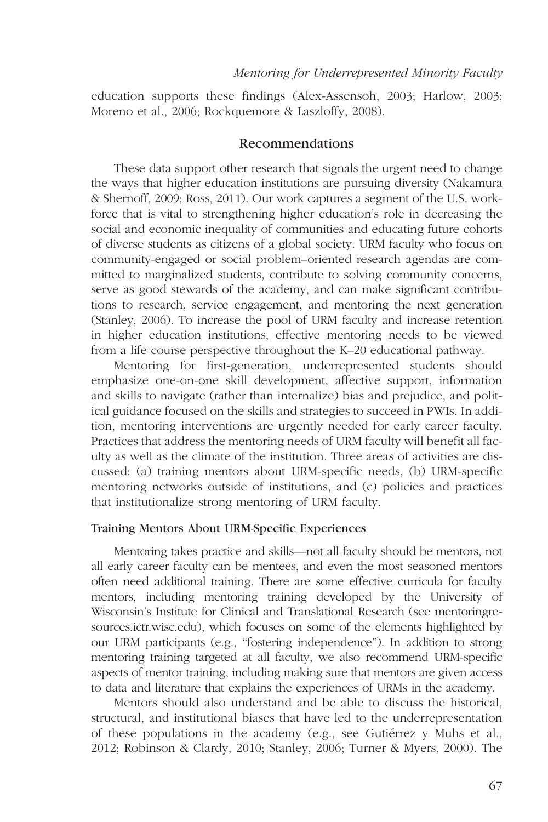education supports these findings (Alex-Assensoh, 2003; Harlow, 2003; Moreno et al., 2006; Rockquemore & Laszloffy, 2008).

# Recommendations

These data support other research that signals the urgent need to change the ways that higher education institutions are pursuing diversity (Nakamura & Shernoff, 2009; Ross, 2011). Our work captures a segment of the U.S. workforce that is vital to strengthening higher education's role in decreasing the social and economic inequality of communities and educating future cohorts of diverse students as citizens of a global society. URM faculty who focus on community-engaged or social problem–oriented research agendas are committed to marginalized students, contribute to solving community concerns, serve as good stewards of the academy, and can make significant contributions to research, service engagement, and mentoring the next generation (Stanley, 2006). To increase the pool of URM faculty and increase retention in higher education institutions, effective mentoring needs to be viewed from a life course perspective throughout the K–20 educational pathway.

Mentoring for first-generation, underrepresented students should emphasize one-on-one skill development, affective support, information and skills to navigate (rather than internalize) bias and prejudice, and political guidance focused on the skills and strategies to succeed in PWIs. In addition, mentoring interventions are urgently needed for early career faculty. Practices that address the mentoring needs of URM faculty will benefit all faculty as well as the climate of the institution. Three areas of activities are discussed: (a) training mentors about URM-specific needs, (b) URM-specific mentoring networks outside of institutions, and (c) policies and practices that institutionalize strong mentoring of URM faculty.

## Training Mentors About URM-Specific Experiences

Mentoring takes practice and skills—not all faculty should be mentors, not all early career faculty can be mentees, and even the most seasoned mentors often need additional training. There are some effective curricula for faculty mentors, including mentoring training developed by the University of Wisconsin's Institute for Clinical and Translational Research (see mentoringresources.ictr.wisc.edu), which focuses on some of the elements highlighted by our URM participants (e.g., ''fostering independence''). In addition to strong mentoring training targeted at all faculty, we also recommend URM-specific aspects of mentor training, including making sure that mentors are given access to data and literature that explains the experiences of URMs in the academy.

Mentors should also understand and be able to discuss the historical, structural, and institutional biases that have led to the underrepresentation of these populations in the academy (e.g., see Gutiérrez y Muhs et al., 2012; Robinson & Clardy, 2010; Stanley, 2006; Turner & Myers, 2000). The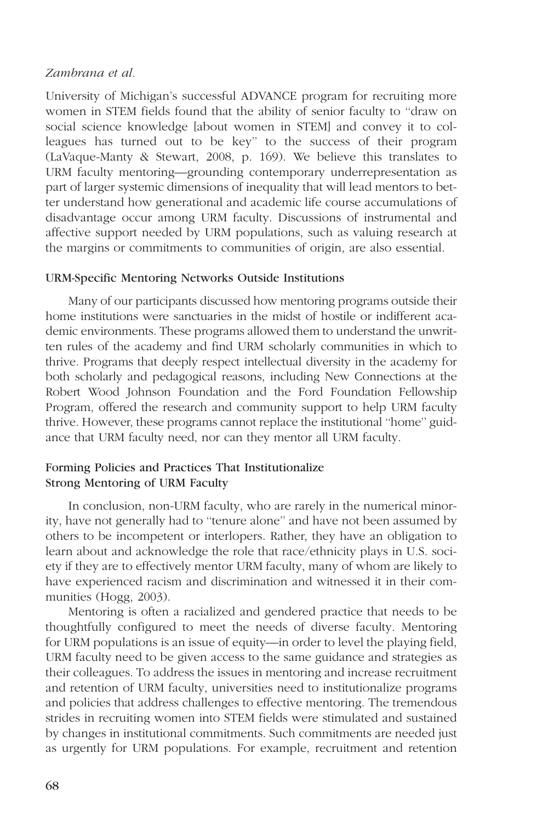University of Michigan's successful ADVANCE program for recruiting more women in STEM fields found that the ability of senior faculty to ''draw on social science knowledge [about women in STEM] and convey it to colleagues has turned out to be key'' to the success of their program (LaVaque-Manty & Stewart, 2008, p. 169). We believe this translates to URM faculty mentoring—grounding contemporary underrepresentation as part of larger systemic dimensions of inequality that will lead mentors to better understand how generational and academic life course accumulations of disadvantage occur among URM faculty. Discussions of instrumental and affective support needed by URM populations, such as valuing research at the margins or commitments to communities of origin, are also essential.

## URM-Specific Mentoring Networks Outside Institutions

Many of our participants discussed how mentoring programs outside their home institutions were sanctuaries in the midst of hostile or indifferent academic environments. These programs allowed them to understand the unwritten rules of the academy and find URM scholarly communities in which to thrive. Programs that deeply respect intellectual diversity in the academy for both scholarly and pedagogical reasons, including New Connections at the Robert Wood Johnson Foundation and the Ford Foundation Fellowship Program, offered the research and community support to help URM faculty thrive. However, these programs cannot replace the institutional ''home'' guidance that URM faculty need, nor can they mentor all URM faculty.

# Forming Policies and Practices That Institutionalize Strong Mentoring of URM Faculty

In conclusion, non-URM faculty, who are rarely in the numerical minority, have not generally had to ''tenure alone'' and have not been assumed by others to be incompetent or interlopers. Rather, they have an obligation to learn about and acknowledge the role that race/ethnicity plays in U.S. society if they are to effectively mentor URM faculty, many of whom are likely to have experienced racism and discrimination and witnessed it in their communities (Hogg, 2003).

Mentoring is often a racialized and gendered practice that needs to be thoughtfully configured to meet the needs of diverse faculty. Mentoring for URM populations is an issue of equity—in order to level the playing field, URM faculty need to be given access to the same guidance and strategies as their colleagues. To address the issues in mentoring and increase recruitment and retention of URM faculty, universities need to institutionalize programs and policies that address challenges to effective mentoring. The tremendous strides in recruiting women into STEM fields were stimulated and sustained by changes in institutional commitments. Such commitments are needed just as urgently for URM populations. For example, recruitment and retention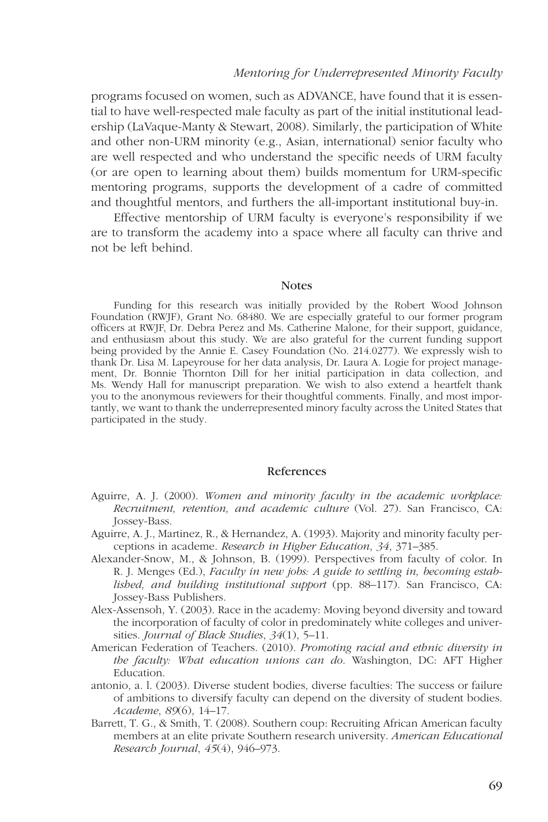programs focused on women, such as ADVANCE, have found that it is essential to have well-respected male faculty as part of the initial institutional leadership (LaVaque-Manty & Stewart, 2008). Similarly, the participation of White and other non-URM minority (e.g., Asian, international) senior faculty who are well respected and who understand the specific needs of URM faculty (or are open to learning about them) builds momentum for URM-specific mentoring programs, supports the development of a cadre of committed and thoughtful mentors, and furthers the all-important institutional buy-in.

Effective mentorship of URM faculty is everyone's responsibility if we are to transform the academy into a space where all faculty can thrive and not be left behind.

#### **Notes**

Funding for this research was initially provided by the Robert Wood Johnson Foundation (RWJF), Grant No. 68480. We are especially grateful to our former program officers at RWJF, Dr. Debra Perez and Ms. Catherine Malone, for their support, guidance, and enthusiasm about this study. We are also grateful for the current funding support being provided by the Annie E. Casey Foundation (No. 214.0277). We expressly wish to thank Dr. Lisa M. Lapeyrouse for her data analysis, Dr. Laura A. Logie for project management, Dr. Bonnie Thornton Dill for her initial participation in data collection, and Ms. Wendy Hall for manuscript preparation. We wish to also extend a heartfelt thank you to the anonymous reviewers for their thoughtful comments. Finally, and most importantly, we want to thank the underrepresented minory faculty across the United States that participated in the study.

#### References

- Aguirre, A. J. (2000). Women and minority faculty in the academic workplace: Recruitment, retention, and academic culture (Vol. 27). San Francisco, CA: Jossey-Bass.
- Aguirre, A. J., Martinez, R., & Hernandez, A. (1993). Majority and minority faculty perceptions in academe. Research in Higher Education, 34, 371–385.
- Alexander-Snow, M., & Johnson, B. (1999). Perspectives from faculty of color. In R. J. Menges (Ed.), Faculty in new jobs: A guide to settling in, becoming established, and building institutional support (pp. 88–117). San Francisco, CA: Jossey-Bass Publishers.
- Alex-Assensoh, Y. (2003). Race in the academy: Moving beyond diversity and toward the incorporation of faculty of color in predominately white colleges and universities. Journal of Black Studies, 34(1), 5-11.
- American Federation of Teachers. (2010). Promoting racial and ethnic diversity in the faculty: What education unions can do. Washington, DC: AFT Higher Education.
- antonio, a. l. (2003). Diverse student bodies, diverse faculties: The success or failure of ambitions to diversify faculty can depend on the diversity of student bodies. Academe, 89(6), 14–17.
- Barrett, T. G., & Smith, T. (2008). Southern coup: Recruiting African American faculty members at an elite private Southern research university. American Educational Research Journal, 45(4), 946–973.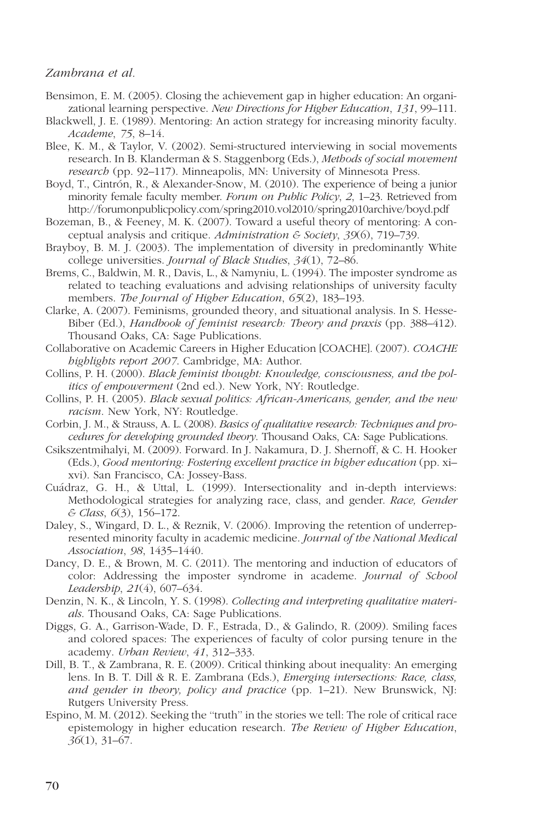- Bensimon, E. M. (2005). Closing the achievement gap in higher education: An organizational learning perspective. New Directions for Higher Education, 131, 99-111.
- Blackwell, J. E. (1989). Mentoring: An action strategy for increasing minority faculty. Academe, 75, 8–14.
- Blee, K. M., & Taylor, V. (2002). Semi-structured interviewing in social movements research. In B. Klanderman & S. Staggenborg (Eds.), Methods of social movement research (pp. 92–117). Minneapolis, MN: University of Minnesota Press.
- Boyd, T., Cintrón, R., & Alexander-Snow, M. (2010). The experience of being a junior minority female faculty member. Forum on Public Policy, 2, 1–23. Retrieved from http://forumonpublicpolicy.com/spring2010.vol2010/spring2010archive/boyd.pdf
- Bozeman, B., & Feeney, M. K. (2007). Toward a useful theory of mentoring: A conceptual analysis and critique. Administration & Society,  $39(6)$ , 719–739.
- Brayboy, B. M. J. (2003). The implementation of diversity in predominantly White college universities. Journal of Black Studies, 34(1), 72–86.
- Brems, C., Baldwin, M. R., Davis, L., & Namyniu, L. (1994). The imposter syndrome as related to teaching evaluations and advising relationships of university faculty members. The Journal of Higher Education, 65(2), 183-193.
- Clarke, A. (2007). Feminisms, grounded theory, and situational analysis. In S. Hesse-Biber (Ed.), Handbook of feminist research: Theory and praxis (pp. 388–412). Thousand Oaks, CA: Sage Publications.
- Collaborative on Academic Careers in Higher Education [COACHE]. (2007). COACHE highlights report 2007. Cambridge, MA: Author.
- Collins, P. H. (2000). Black feminist thought: Knowledge, consciousness, and the politics of empowerment (2nd ed.). New York, NY: Routledge.
- Collins, P. H. (2005). Black sexual politics: African-Americans, gender, and the new racism. New York, NY: Routledge.
- Corbin, J. M., & Strauss, A. L. (2008). Basics of qualitative research: Techniques and procedures for developing grounded theory. Thousand Oaks, CA: Sage Publications.
- Csikszentmihalyi, M. (2009). Forward. In J. Nakamura, D. J. Shernoff, & C. H. Hooker (Eds.), Good mentoring: Fostering excellent practice in higher education (pp. xi– xvi). San Francisco, CA: Jossey-Bass.
- Cuádraz, G. H., & Uttal, L. (1999). Intersectionality and in-depth interviews: Methodological strategies for analyzing race, class, and gender. Race, Gender & Class, 6(3), 156–172.
- Daley, S., Wingard, D. L., & Reznik, V. (2006). Improving the retention of underrepresented minority faculty in academic medicine. Journal of the National Medical Association, 98, 1435–1440.
- Dancy, D. E., & Brown, M. C. (2011). The mentoring and induction of educators of color: Addressing the imposter syndrome in academe. Journal of School Leadership, 21(4), 607–634.
- Denzin, N. K., & Lincoln, Y. S. (1998). Collecting and interpreting qualitative materials. Thousand Oaks, CA: Sage Publications.
- Diggs, G. A., Garrison-Wade, D. F., Estrada, D., & Galindo, R. (2009). Smiling faces and colored spaces: The experiences of faculty of color pursing tenure in the academy. Urban Review, 41, 312–333.
- Dill, B. T., & Zambrana, R. E. (2009). Critical thinking about inequality: An emerging lens. In B. T. Dill & R. E. Zambrana (Eds.), Emerging intersections: Race, class, and gender in theory, policy and practice (pp. 1–21). New Brunswick, NJ: Rutgers University Press.
- Espino, M. M. (2012). Seeking the ''truth'' in the stories we tell: The role of critical race epistemology in higher education research. The Review of Higher Education, 36(1), 31–67.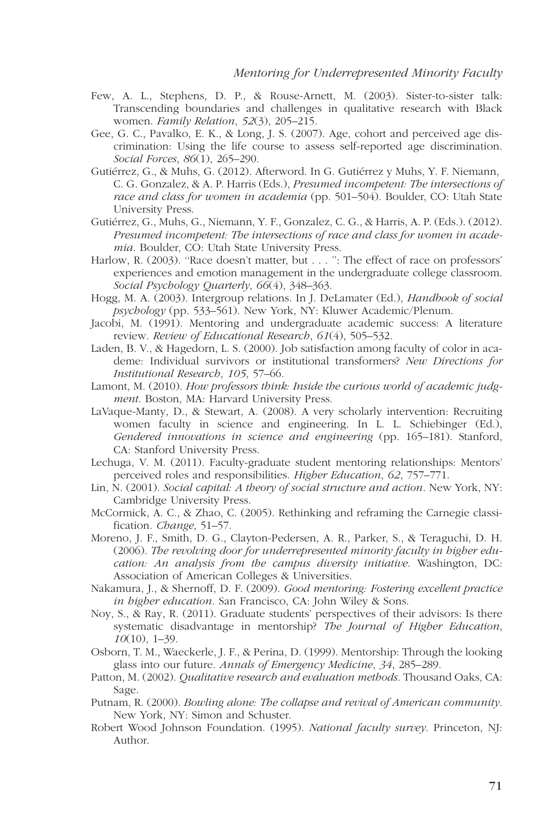- Few, A. L., Stephens, D. P., & Rouse-Arnett, M. (2003). Sister-to-sister talk: Transcending boundaries and challenges in qualitative research with Black women. Family Relation, 52(3), 205–215.
- Gee, G. C., Pavalko, E. K., & Long, J. S. (2007). Age, cohort and perceived age discrimination: Using the life course to assess self-reported age discrimination. Social Forces, 86(1), 265-290.
- Gutiérrez, G., & Muhs, G. (2012). Afterword. In G. Gutiérrez y Muhs, Y. F. Niemann, C. G. Gonzalez, & A. P. Harris (Eds.), Presumed incompetent: The intersections of race and class for women in academia (pp. 501–504). Boulder, CO: Utah State University Press.
- Gutiérrez, G., Muhs, G., Niemann, Y. F., Gonzalez, C. G., & Harris, A. P. (Eds.). (2012). Presumed incompetent: The intersections of race and class for women in academia. Boulder, CO: Utah State University Press.
- Harlow, R. (2003). "Race doesn't matter, but . . . ": The effect of race on professors' experiences and emotion management in the undergraduate college classroom. Social Psychology Quarterly, 66(4), 348-363.
- Hogg, M. A. (2003). Intergroup relations. In J. DeLamater (Ed.), Handbook of social psychology (pp. 533–561). New York, NY: Kluwer Academic/Plenum.
- Jacobi, M. (1991). Mentoring and undergraduate academic success: A literature review. Review of Educational Research, 61(4), 505–532.
- Laden, B. V., & Hagedorn, L. S. (2000). Job satisfaction among faculty of color in academe: Individual survivors or institutional transformers? New Directions for Institutional Research, 105, 57–66.
- Lamont, M. (2010). How professors think: Inside the curious world of academic judgment. Boston, MA: Harvard University Press.
- LaVaque-Manty, D., & Stewart, A. (2008). A very scholarly intervention: Recruiting women faculty in science and engineering. In L. L. Schiebinger (Ed.), Gendered innovations in science and engineering (pp. 165–181). Stanford, CA: Stanford University Press.
- Lechuga, V. M. (2011). Faculty-graduate student mentoring relationships: Mentors' perceived roles and responsibilities. Higher Education, 62, 757–771.
- Lin, N. (2001). Social capital: A theory of social structure and action. New York, NY: Cambridge University Press.
- McCormick, A. C., & Zhao, C. (2005). Rethinking and reframing the Carnegie classification. Change, 51–57.
- Moreno, J. F., Smith, D. G., Clayton-Pedersen, A. R., Parker, S., & Teraguchi, D. H. (2006). The revolving door for underrepresented minority faculty in higher education: An analysis from the campus diversity initiative. Washington, DC: Association of American Colleges & Universities.
- Nakamura, J., & Shernoff, D. F. (2009). Good mentoring: Fostering excellent practice in higher education. San Francisco, CA: John Wiley & Sons.
- Noy, S., & Ray, R. (2011). Graduate students' perspectives of their advisors: Is there systematic disadvantage in mentorship? The Journal of Higher Education, 10(10), 1–39.
- Osborn, T. M., Waeckerle, J. F., & Perina, D. (1999). Mentorship: Through the looking glass into our future. Annals of Emergency Medicine, 34, 285–289.
- Patton, M. (2002). Qualitative research and evaluation methods. Thousand Oaks, CA: Sage.
- Putnam, R. (2000). Bowling alone: The collapse and revival of American community. New York, NY: Simon and Schuster.
- Robert Wood Johnson Foundation. (1995). National faculty survey. Princeton, NJ: Author.